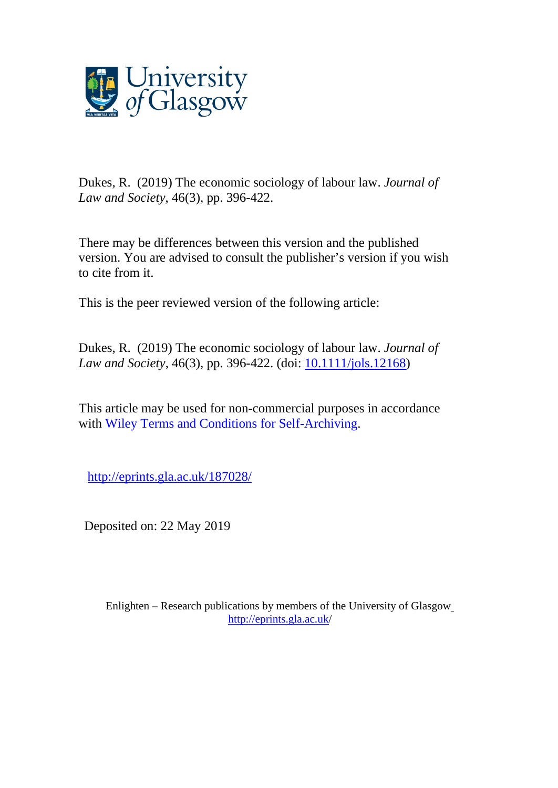

Dukes, R. (2019) The economic sociology of labour law. *Journal of Law and Society*, 46(3), pp. 396-422.

There may be differences between this version and the published version. You are advised to consult the publisher's version if you wish to cite from it.

This is the peer reviewed version of the following article:

Dukes, R. (2019) The economic sociology of labour law. *Journal of Law and Society*, 46(3), pp. 396-422. (doi: [10.1111/jols.12168\)](http://dx.doi.org/10.1111/jols.12168)

This article may be used for non-commercial purposes in accordance with Wiley Terms and Conditions for [Self-Archiving.](http://olabout.wiley.com/WileyCDA/Section/id-828039.html#terms)

<http://eprints.gla.ac.uk/187028/>

Deposited on: 22 May 2019

Enlighten – Research publications by members of the University of Glasgo[w](http://eprints.gla.ac.uk/) <http://eprints.gla.ac.uk/>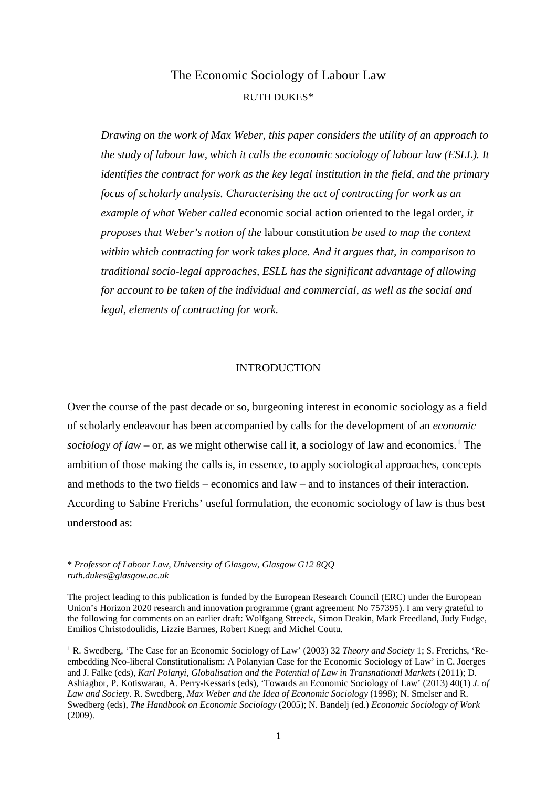# The Economic Sociology of Labour Law RUTH DUKES\*

*Drawing on the work of Max Weber, this paper considers the utility of an approach to the study of labour law, which it calls the economic sociology of labour law (ESLL). It identifies the contract for work as the key legal institution in the field, and the primary focus of scholarly analysis. Characterising the act of contracting for work as an example of what Weber called* economic social action oriented to the legal order*, it proposes that Weber's notion of the* labour constitution *be used to map the context within which contracting for work takes place. And it argues that, in comparison to traditional socio-legal approaches, ESLL has the significant advantage of allowing for account to be taken of the individual and commercial, as well as the social and legal, elements of contracting for work.*

#### INTRODUCTION

Over the course of the past decade or so, burgeoning interest in economic sociology as a field of scholarly endeavour has been accompanied by calls for the development of an *economic sociology of law* – or, as we might otherwise call it, a sociology of law and economics. [1](#page-1-0) The ambition of those making the calls is, in essence, to apply sociological approaches, concepts and methods to the two fields – economics and law – and to instances of their interaction. According to Sabine Frerichs' useful formulation, the economic sociology of law is thus best understood as:

<span id="page-1-0"></span><sup>\*</sup> *Professor of Labour Law, University of Glasgow, Glasgow G12 8QQ ruth.dukes@glasgow.ac.uk* 

The project leading to this publication is funded by the European Research Council (ERC) under the European Union's Horizon 2020 research and innovation programme (grant agreement No 757395). I am very grateful to the following for comments on an earlier draft: Wolfgang Streeck, Simon Deakin, Mark Freedland, Judy Fudge, Emilios Christodoulidis, Lizzie Barmes, Robert Knegt and Michel Coutu.

<sup>1</sup> R. Swedberg, 'The Case for an Economic Sociology of Law' (2003) 32 *Theory and Society* 1; S. Frerichs, 'Reembedding Neo-liberal Constitutionalism: A Polanyian Case for the Economic Sociology of Law' in C. Joerges and J. Falke (eds), *Karl Polanyi, Globalisation and the Potential of Law in Transnational Markets* (2011); D. Ashiagbor, P. Kotiswaran, A. Perry-Kessaris (eds), 'Towards an Economic Sociology of Law' (2013) 40(1) *J. of Law and Society*. R. Swedberg, *Max Weber and the Idea of Economic Sociology* (1998); N. Smelser and R. Swedberg (eds), *The Handbook on Economic Sociology* (2005); N. Bandelj (ed.) *Economic Sociology of Work* (2009).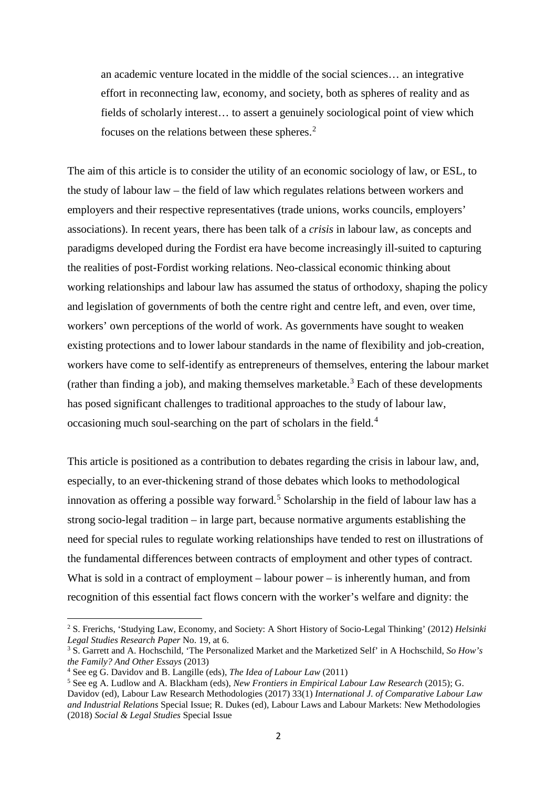an academic venture located in the middle of the social sciences… an integrative effort in reconnecting law, economy, and society, both as spheres of reality and as fields of scholarly interest… to assert a genuinely sociological point of view which focuses on the relations between these spheres. [2](#page-2-0)

The aim of this article is to consider the utility of an economic sociology of law, or ESL, to the study of labour law – the field of law which regulates relations between workers and employers and their respective representatives (trade unions, works councils, employers' associations). In recent years, there has been talk of a *crisis* in labour law, as concepts and paradigms developed during the Fordist era have become increasingly ill-suited to capturing the realities of post-Fordist working relations. Neo-classical economic thinking about working relationships and labour law has assumed the status of orthodoxy, shaping the policy and legislation of governments of both the centre right and centre left, and even, over time, workers' own perceptions of the world of work. As governments have sought to weaken existing protections and to lower labour standards in the name of flexibility and job-creation, workers have come to self-identify as entrepreneurs of themselves, entering the labour market (rather than finding a job), and making themselves marketable.<sup>[3](#page-2-1)</sup> Each of these developments has posed significant challenges to traditional approaches to the study of labour law, occasioning much soul-searching on the part of scholars in the field.[4](#page-2-2)

This article is positioned as a contribution to debates regarding the crisis in labour law, and, especially, to an ever-thickening strand of those debates which looks to methodological innovation as offering a possible way forward. [5](#page-2-3) Scholarship in the field of labour law has a strong socio-legal tradition – in large part, because normative arguments establishing the need for special rules to regulate working relationships have tended to rest on illustrations of the fundamental differences between contracts of employment and other types of contract. What is sold in a contract of employment – labour power – is inherently human, and from recognition of this essential fact flows concern with the worker's welfare and dignity: the

<span id="page-2-0"></span><sup>2</sup> S. Frerichs, 'Studying Law, Economy, and Society: A Short History of Socio-Legal Thinking' (2012) *Helsinki Legal Studies Research Paper* No. 19, at 6.

<span id="page-2-1"></span><sup>3</sup> S. Garrett and A. Hochschild, 'The Personalized Market and the Marketized Self' in A Hochschild, *So How's the Family? And Other Essays* (2013)

<span id="page-2-2"></span><sup>4</sup> See eg G. Davidov and B. Langille (eds), *The Idea of Labour Law* (2011)

<span id="page-2-3"></span><sup>5</sup> See eg A. Ludlow and A. Blackham (eds), *New Frontiers in Empirical Labour Law Research* (2015); G. Davidov (ed), Labour Law Research Methodologies (2017) 33(1) *International J. of Comparative Labour Law and Industrial Relations* Special Issue; R. Dukes (ed), Labour Laws and Labour Markets: New Methodologies (2018) *Social & Legal Studies* Special Issue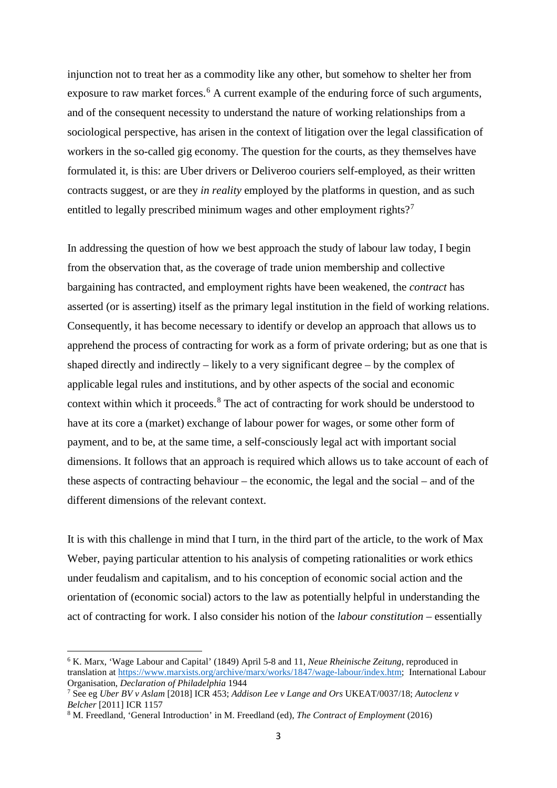injunction not to treat her as a commodity like any other, but somehow to shelter her from exposure to raw market forces.<sup>[6](#page-3-0)</sup> A current example of the enduring force of such arguments, and of the consequent necessity to understand the nature of working relationships from a sociological perspective, has arisen in the context of litigation over the legal classification of workers in the so-called gig economy. The question for the courts, as they themselves have formulated it, is this: are Uber drivers or Deliveroo couriers self-employed, as their written contracts suggest, or are they *in reality* employed by the platforms in question, and as such entitled to legally prescribed minimum wages and other employment rights?<sup>[7](#page-3-1)</sup>

In addressing the question of how we best approach the study of labour law today, I begin from the observation that, as the coverage of trade union membership and collective bargaining has contracted, and employment rights have been weakened, the *contract* has asserted (or is asserting) itself as the primary legal institution in the field of working relations. Consequently, it has become necessary to identify or develop an approach that allows us to apprehend the process of contracting for work as a form of private ordering; but as one that is shaped directly and indirectly – likely to a very significant degree – by the complex of applicable legal rules and institutions, and by other aspects of the social and economic context within which it proceeds. [8](#page-3-2) The act of contracting for work should be understood to have at its core a (market) exchange of labour power for wages, or some other form of payment, and to be, at the same time, a self-consciously legal act with important social dimensions. It follows that an approach is required which allows us to take account of each of these aspects of contracting behaviour – the economic, the legal and the social – and of the different dimensions of the relevant context.

It is with this challenge in mind that I turn, in the third part of the article, to the work of Max Weber, paying particular attention to his analysis of competing rationalities or work ethics under feudalism and capitalism, and to his conception of economic social action and the orientation of (economic social) actors to the law as potentially helpful in understanding the act of contracting for work. I also consider his notion of the *labour constitution* – essentially

<span id="page-3-0"></span><sup>6</sup> K. Marx, 'Wage Labour and Capital' (1849) April 5-8 and 11, *Neue Rheinische Zeitung*, reproduced in translation at [https://www.marxists.org/archive/marx/works/1847/wage-labour/index.htm;](https://www.marxists.org/archive/marx/works/1847/wage-labour/index.htm) International Labour Organisation, *Declaration of Philadelphia* 1944

<span id="page-3-1"></span><sup>7</sup> See eg *Uber BV v Aslam* [2018] ICR 453; *Addison Lee v Lange and Ors* UKEAT/0037/18; *Autoclenz v Belcher* [2011] ICR 1157

<span id="page-3-2"></span><sup>8</sup> M. Freedland, 'General Introduction' in M. Freedland (ed), *The Contract of Employment* (2016)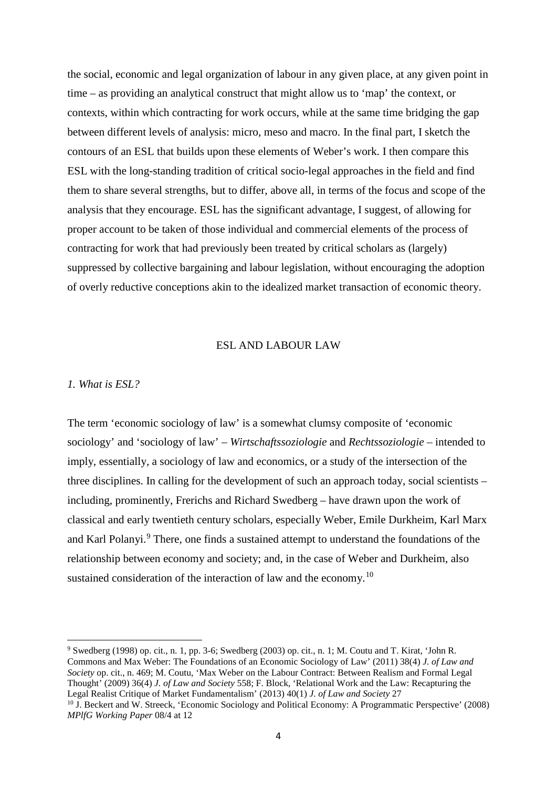the social, economic and legal organization of labour in any given place, at any given point in time – as providing an analytical construct that might allow us to 'map' the context, or contexts, within which contracting for work occurs, while at the same time bridging the gap between different levels of analysis: micro, meso and macro. In the final part, I sketch the contours of an ESL that builds upon these elements of Weber's work. I then compare this ESL with the long-standing tradition of critical socio-legal approaches in the field and find them to share several strengths, but to differ, above all, in terms of the focus and scope of the analysis that they encourage. ESL has the significant advantage, I suggest, of allowing for proper account to be taken of those individual and commercial elements of the process of contracting for work that had previously been treated by critical scholars as (largely) suppressed by collective bargaining and labour legislation, without encouraging the adoption of overly reductive conceptions akin to the idealized market transaction of economic theory.

# ESL AND LABOUR LAW

## *1. What is ESL?*

 $\overline{\phantom{a}}$ 

The term 'economic sociology of law' is a somewhat clumsy composite of 'economic sociology' and 'sociology of law' – *Wirtschaftssoziologie* and *Rechtssoziologie* – intended to imply, essentially, a sociology of law and economics, or a study of the intersection of the three disciplines. In calling for the development of such an approach today, social scientists – including, prominently, Frerichs and Richard Swedberg – have drawn upon the work of classical and early twentieth century scholars, especially Weber, Emile Durkheim, Karl Marx and Karl Polanyi.<sup>[9](#page-4-0)</sup> There, one finds a sustained attempt to understand the foundations of the relationship between economy and society; and, in the case of Weber and Durkheim, also sustained consideration of the interaction of law and the economy.<sup>[10](#page-4-1)</sup>

<span id="page-4-0"></span><sup>9</sup> Swedberg (1998) op. cit., n. 1, pp. 3-6; Swedberg (2003) op. cit., n. 1; M. Coutu and T. Kirat, 'John R. Commons and Max Weber: The Foundations of an Economic Sociology of Law' (2011) 38(4) *J. of Law and Society* op. cit., n. 469; M. Coutu, 'Max Weber on the Labour Contract: Between Realism and Formal Legal Thought' (2009) 36(4) *J. of Law and Society* 558; F. Block, 'Relational Work and the Law: Recapturing the Legal Realist Critique of Market Fundamentalism' (2013) 40(1) *J. of Law and Society* 27

<span id="page-4-1"></span><sup>10</sup> J. Beckert and W. Streeck, 'Economic Sociology and Political Economy: A Programmatic Perspective' (2008) *MPlfG Working Paper* 08/4 at 12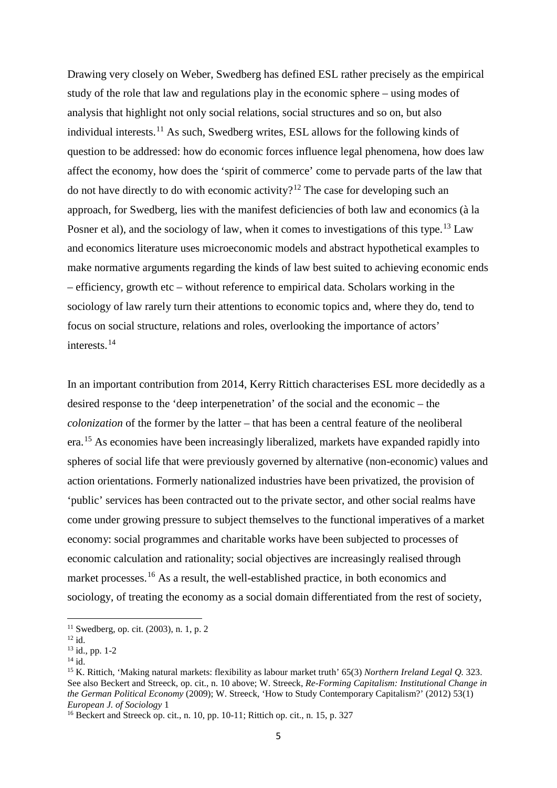Drawing very closely on Weber, Swedberg has defined ESL rather precisely as the empirical study of the role that law and regulations play in the economic sphere – using modes of analysis that highlight not only social relations, social structures and so on, but also individual interests.<sup>[11](#page-5-0)</sup> As such, Swedberg writes, ESL allows for the following kinds of question to be addressed: how do economic forces influence legal phenomena, how does law affect the economy, how does the 'spirit of commerce' come to pervade parts of the law that do not have directly to do with economic activity?<sup>[12](#page-5-1)</sup> The case for developing such an approach, for Swedberg, lies with the manifest deficiencies of both law and economics (à la Posner et al), and the sociology of law, when it comes to investigations of this type.<sup>[13](#page-5-2)</sup> Law and economics literature uses microeconomic models and abstract hypothetical examples to make normative arguments regarding the kinds of law best suited to achieving economic ends – efficiency, growth etc – without reference to empirical data. Scholars working in the sociology of law rarely turn their attentions to economic topics and, where they do, tend to focus on social structure, relations and roles, overlooking the importance of actors' interests. [14](#page-5-3) 

In an important contribution from 2014, Kerry Rittich characterises ESL more decidedly as a desired response to the 'deep interpenetration' of the social and the economic – the *colonization* of the former by the latter – that has been a central feature of the neoliberal era. [15](#page-5-4) As economies have been increasingly liberalized, markets have expanded rapidly into spheres of social life that were previously governed by alternative (non-economic) values and action orientations. Formerly nationalized industries have been privatized, the provision of 'public' services has been contracted out to the private sector, and other social realms have come under growing pressure to subject themselves to the functional imperatives of a market economy: social programmes and charitable works have been subjected to processes of economic calculation and rationality; social objectives are increasingly realised through market processes.<sup>[16](#page-5-5)</sup> As a result, the well-established practice, in both economics and sociology, of treating the economy as a social domain differentiated from the rest of society,

<span id="page-5-0"></span> $11$  Swedberg, op. cit. (2003), n. 1, p. 2

<span id="page-5-1"></span><sup>12</sup> id.

<span id="page-5-2"></span><sup>13</sup> id., pp. 1-2

<span id="page-5-3"></span><sup>14</sup> id.

<span id="page-5-4"></span><sup>15</sup> K. Rittich, 'Making natural markets: flexibility as labour market truth' 65(3) *Northern Ireland Legal Q.* 323. See also Beckert and Streeck, op. cit., n. 10 above; W. Streeck, *Re-Forming Capitalism: Institutional Change in the German Political Economy* (2009); W. Streeck, 'How to Study Contemporary Capitalism?' (2012) 53(1) *European J. of Sociology* 1

<span id="page-5-5"></span><sup>16</sup> Beckert and Streeck op. cit., n. 10, pp. 10-11; Rittich op. cit., n. 15, p. 327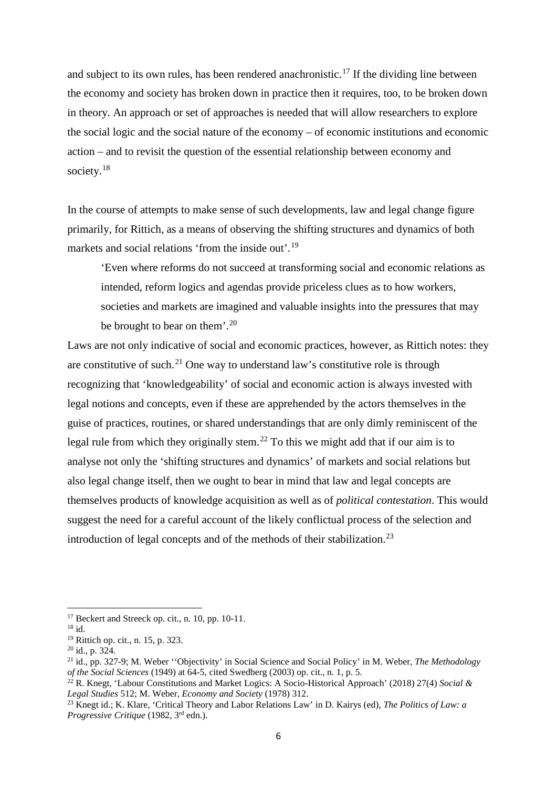and subject to its own rules, has been rendered anachronistic.<sup>[17](#page-6-0)</sup> If the dividing line between the economy and society has broken down in practice then it requires, too, to be broken down in theory. An approach or set of approaches is needed that will allow researchers to explore the social logic and the social nature of the economy – of economic institutions and economic action – and to revisit the question of the essential relationship between economy and society.<sup>[18](#page-6-1)</sup>

In the course of attempts to make sense of such developments, law and legal change figure primarily, for Rittich, as a means of observing the shifting structures and dynamics of both markets and social relations 'from the inside out'.<sup>[19](#page-6-2)</sup>

'Even where reforms do not succeed at transforming social and economic relations as intended, reform logics and agendas provide priceless clues as to how workers, societies and markets are imagined and valuable insights into the pressures that may be brought to bear on them'.<sup>[20](#page-6-3)</sup>

Laws are not only indicative of social and economic practices, however, as Rittich notes: they are constitutive of such.<sup>[21](#page-6-4)</sup> One way to understand law's constitutive role is through recognizing that 'knowledgeability' of social and economic action is always invested with legal notions and concepts, even if these are apprehended by the actors themselves in the guise of practices, routines, or shared understandings that are only dimly reminiscent of the legal rule from which they originally stem. [22](#page-6-5) To this we might add that if our aim is to analyse not only the 'shifting structures and dynamics' of markets and social relations but also legal change itself, then we ought to bear in mind that law and legal concepts are themselves products of knowledge acquisition as well as of *political contestation*. This would suggest the need for a careful account of the likely conflictual process of the selection and introduction of legal concepts and of the methods of their stabilization.<sup>[23](#page-6-6)</sup>

<span id="page-6-0"></span><sup>&</sup>lt;sup>17</sup> Beckert and Streeck op. cit., n. 10, pp. 10-11.

<span id="page-6-1"></span> $18$  id.

<sup>19</sup> Rittich op. cit., n. 15, p. 323.

<span id="page-6-3"></span><span id="page-6-2"></span><sup>20</sup> id., p. 324.

<span id="page-6-4"></span><sup>21</sup> id., pp. 327-9; M. Weber ''Objectivity' in Social Science and Social Policy' in M. Weber, *The Methodology of the Social Sciences* (1949) at 64-5, cited Swedberg (2003) op. cit., n. 1, p. 5.

<span id="page-6-5"></span><sup>22</sup> R. Knegt, 'Labour Constitutions and Market Logics: A Socio-Historical Approach' (2018) 27(4) *Social & Legal Studies* 512; M. Weber, *Economy and Society* (1978) 312.

<span id="page-6-6"></span><sup>23</sup> Knegt id.; K. Klare, 'Critical Theory and Labor Relations Law' in D. Kairys (ed), *The Politics of Law: a Progressive Critique* (1982, 3rd edn.).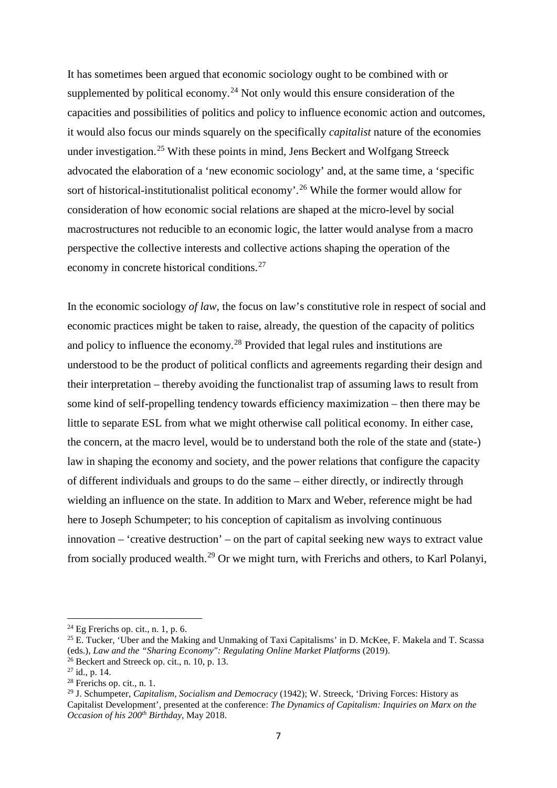It has sometimes been argued that economic sociology ought to be combined with or supplemented by political economy.<sup>[24](#page-7-0)</sup> Not only would this ensure consideration of the capacities and possibilities of politics and policy to influence economic action and outcomes, it would also focus our minds squarely on the specifically *capitalist* nature of the economies under investigation.<sup>[25](#page-7-1)</sup> With these points in mind, Jens Beckert and Wolfgang Streeck advocated the elaboration of a 'new economic sociology' and, at the same time, a 'specific sort of historical-institutionalist political economy'.<sup>[26](#page-7-2)</sup> While the former would allow for consideration of how economic social relations are shaped at the micro-level by social macrostructures not reducible to an economic logic, the latter would analyse from a macro perspective the collective interests and collective actions shaping the operation of the economy in concrete historical conditions.[27](#page-7-3)

In the economic sociology *of law*, the focus on law's constitutive role in respect of social and economic practices might be taken to raise, already, the question of the capacity of politics and policy to influence the economy.[28](#page-7-4) Provided that legal rules and institutions are understood to be the product of political conflicts and agreements regarding their design and their interpretation – thereby avoiding the functionalist trap of assuming laws to result from some kind of self-propelling tendency towards efficiency maximization – then there may be little to separate ESL from what we might otherwise call political economy. In either case, the concern, at the macro level, would be to understand both the role of the state and (state-) law in shaping the economy and society, and the power relations that configure the capacity of different individuals and groups to do the same – either directly, or indirectly through wielding an influence on the state. In addition to Marx and Weber, reference might be had here to Joseph Schumpeter; to his conception of capitalism as involving continuous innovation – 'creative destruction' – on the part of capital seeking new ways to extract value from socially produced wealth.<sup>[29](#page-7-5)</sup> Or we might turn, with Frerichs and others, to Karl Polanyi,

<span id="page-7-0"></span> $24$  Eg Frerichs op. cit., n. 1, p. 6.

<span id="page-7-1"></span><sup>&</sup>lt;sup>25</sup> E. Tucker, 'Uber and the Making and Unmaking of Taxi Capitalisms' in D. McKee, F. Makela and T. Scassa (eds.), *Law and the "Sharing Economy": Regulating Online Market Platforms* (2019).

<span id="page-7-2"></span> $26$  Beckert and Streeck op. cit., n. 10, p. 13.

<span id="page-7-3"></span><sup>27</sup> id., p. 14.

<span id="page-7-4"></span><sup>28</sup> Frerichs op. cit., n. 1.

<span id="page-7-5"></span><sup>29</sup> J. Schumpeter, *Capitalism, Socialism and Democracy* (1942); W. Streeck, 'Driving Forces: History as Capitalist Development', presented at the conference: *The Dynamics of Capitalism: Inquiries on Marx on the Occasion of his 200th Birthday*, May 2018.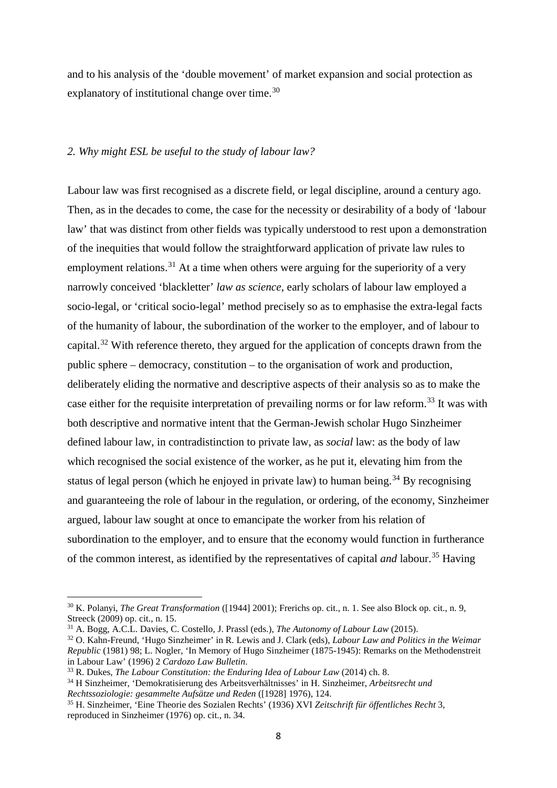and to his analysis of the 'double movement' of market expansion and social protection as explanatory of institutional change over time.<sup>[30](#page-8-0)</sup>

# *2. Why might ESL be useful to the study of labour law?*

Labour law was first recognised as a discrete field, or legal discipline, around a century ago. Then, as in the decades to come, the case for the necessity or desirability of a body of 'labour law' that was distinct from other fields was typically understood to rest upon a demonstration of the inequities that would follow the straightforward application of private law rules to employment relations.<sup>[31](#page-8-1)</sup> At a time when others were arguing for the superiority of a very narrowly conceived 'blackletter' *law as science*, early scholars of labour law employed a socio-legal, or 'critical socio-legal' method precisely so as to emphasise the extra-legal facts of the humanity of labour, the subordination of the worker to the employer, and of labour to capital.<sup>[32](#page-8-2)</sup> With reference thereto, they argued for the application of concepts drawn from the public sphere – democracy, constitution – to the organisation of work and production, deliberately eliding the normative and descriptive aspects of their analysis so as to make the case either for the requisite interpretation of prevailing norms or for law reform.<sup>[33](#page-8-3)</sup> It was with both descriptive and normative intent that the German-Jewish scholar Hugo Sinzheimer defined labour law, in contradistinction to private law, as *social* law: as the body of law which recognised the social existence of the worker, as he put it, elevating him from the status of legal person (which he enjoyed in private law) to human being.<sup>[34](#page-8-4)</sup> By recognising and guaranteeing the role of labour in the regulation, or ordering, of the economy, Sinzheimer argued, labour law sought at once to emancipate the worker from his relation of subordination to the employer, and to ensure that the economy would function in furtherance of the common interest, as identified by the representatives of capital *and* labour.<sup>[35](#page-8-5)</sup> Having

<span id="page-8-0"></span><sup>30</sup> K. Polanyi, *The Great Transformation* ([1944] 2001); Frerichs op. cit., n. 1. See also Block op. cit., n. 9, Streeck (2009) op. cit., n. 15.

<span id="page-8-1"></span><sup>31</sup> A. Bogg, A.C.L. Davies, C. Costello, J. Prassl (eds.), *The Autonomy of Labour Law* (2015).

<span id="page-8-2"></span><sup>32</sup> O. Kahn-Freund, 'Hugo Sinzheimer' in R. Lewis and J. Clark (eds), *Labour Law and Politics in the Weimar Republic* (1981) 98; L. Nogler, 'In Memory of Hugo Sinzheimer (1875-1945): Remarks on the Methodenstreit in Labour Law' (1996) 2 *Cardozo Law Bulletin*.

<span id="page-8-3"></span><sup>33</sup> R. Dukes, *The Labour Constitution: the Enduring Idea of Labour Law* (2014) ch. 8.

<span id="page-8-4"></span><sup>34</sup> H Sinzheimer, 'Demokratisierung des Arbeitsverhältnisses' in H. Sinzheimer, *Arbeitsrecht und Rechtssoziologie: gesammelte Aufsätze und Reden* ([1928] 1976), 124.

<span id="page-8-5"></span><sup>35</sup> H. Sinzheimer, 'Eine Theorie des Sozialen Rechts' (1936) XVI *Zeitschrift für öffentliches Recht* 3, reproduced in Sinzheimer (1976) op. cit., n. 34.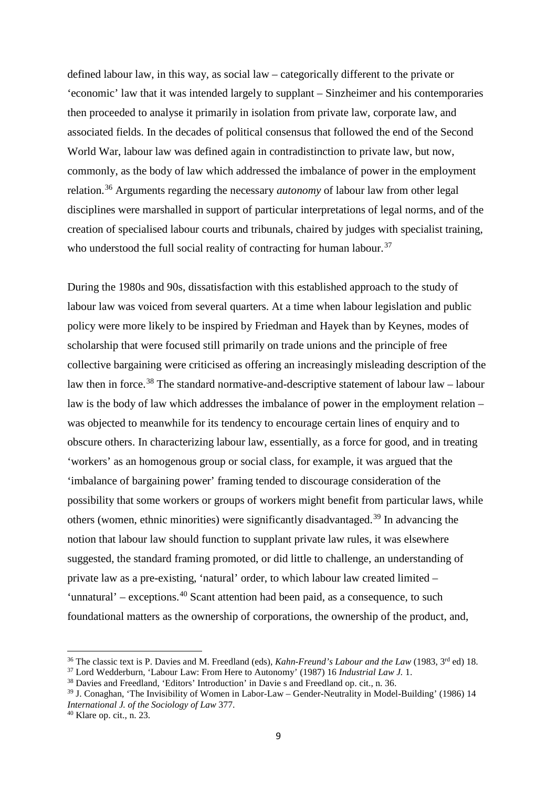defined labour law, in this way, as social law – categorically different to the private or 'economic' law that it was intended largely to supplant – Sinzheimer and his contemporaries then proceeded to analyse it primarily in isolation from private law, corporate law, and associated fields. In the decades of political consensus that followed the end of the Second World War, labour law was defined again in contradistinction to private law, but now, commonly, as the body of law which addressed the imbalance of power in the employment relation.[36](#page-9-0) Arguments regarding the necessary *autonomy* of labour law from other legal disciplines were marshalled in support of particular interpretations of legal norms, and of the creation of specialised labour courts and tribunals, chaired by judges with specialist training, who understood the full social reality of contracting for human labour.<sup>[37](#page-9-1)</sup>

During the 1980s and 90s, dissatisfaction with this established approach to the study of labour law was voiced from several quarters. At a time when labour legislation and public policy were more likely to be inspired by Friedman and Hayek than by Keynes, modes of scholarship that were focused still primarily on trade unions and the principle of free collective bargaining were criticised as offering an increasingly misleading description of the law then in force.<sup>[38](#page-9-2)</sup> The standard normative-and-descriptive statement of labour law – labour law is the body of law which addresses the imbalance of power in the employment relation – was objected to meanwhile for its tendency to encourage certain lines of enquiry and to obscure others. In characterizing labour law, essentially, as a force for good, and in treating 'workers' as an homogenous group or social class, for example, it was argued that the 'imbalance of bargaining power' framing tended to discourage consideration of the possibility that some workers or groups of workers might benefit from particular laws, while others (women, ethnic minorities) were significantly disadvantaged.[39](#page-9-3) In advancing the notion that labour law should function to supplant private law rules, it was elsewhere suggested, the standard framing promoted, or did little to challenge, an understanding of private law as a pre-existing, 'natural' order, to which labour law created limited – 'unnatural' – exceptions.<sup>[40](#page-9-4)</sup> Scant attention had been paid, as a consequence, to such foundational matters as the ownership of corporations, the ownership of the product, and,

<span id="page-9-0"></span><sup>36</sup> The classic text is P. Davies and M. Freedland (eds), *Kahn-Freund's Labour and the Law* (1983, 3rd ed) 18.

<span id="page-9-1"></span><sup>37</sup> Lord Wedderburn, 'Labour Law: From Here to Autonomy' (1987) 16 *Industrial Law J.* 1.

<span id="page-9-2"></span><sup>&</sup>lt;sup>38</sup> Davies and Freedland, 'Editors' Introduction' in Davie s and Freedland op. cit., n. 36.

<span id="page-9-3"></span><sup>39</sup> J. Conaghan, 'The Invisibility of Women in Labor-Law – Gender-Neutrality in Model-Building' (1986) 14 *International J. of the Sociology of Law* 377.

<span id="page-9-4"></span> $40$  Klare op. cit., n. 23.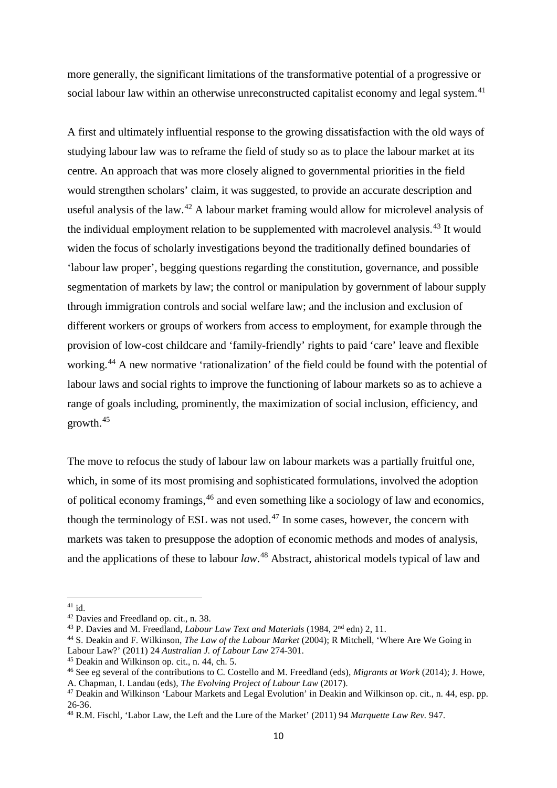more generally, the significant limitations of the transformative potential of a progressive or social labour law within an otherwise unreconstructed capitalist economy and legal system.<sup>[41](#page-10-0)</sup>

A first and ultimately influential response to the growing dissatisfaction with the old ways of studying labour law was to reframe the field of study so as to place the labour market at its centre. An approach that was more closely aligned to governmental priorities in the field would strengthen scholars' claim, it was suggested, to provide an accurate description and useful analysis of the law.[42](#page-10-1) A labour market framing would allow for microlevel analysis of the individual employment relation to be supplemented with macrolevel analysis.<sup>[43](#page-10-2)</sup> It would widen the focus of scholarly investigations beyond the traditionally defined boundaries of 'labour law proper', begging questions regarding the constitution, governance, and possible segmentation of markets by law; the control or manipulation by government of labour supply through immigration controls and social welfare law; and the inclusion and exclusion of different workers or groups of workers from access to employment, for example through the provision of low-cost childcare and 'family-friendly' rights to paid 'care' leave and flexible working.<sup>[44](#page-10-3)</sup> A new normative 'rationalization' of the field could be found with the potential of labour laws and social rights to improve the functioning of labour markets so as to achieve a range of goals including, prominently, the maximization of social inclusion, efficiency, and growth.[45](#page-10-4)

The move to refocus the study of labour law on labour markets was a partially fruitful one, which, in some of its most promising and sophisticated formulations, involved the adoption of political economy framings,<sup>[46](#page-10-5)</sup> and even something like a sociology of law and economics, though the terminology of ESL was not used. $47$  In some cases, however, the concern with markets was taken to presuppose the adoption of economic methods and modes of analysis, and the applications of these to labour *law*. [48](#page-10-7) Abstract, ahistorical models typical of law and

<span id="page-10-0"></span> $41$  id.

<span id="page-10-1"></span><sup>42</sup> Davies and Freedland op. cit., n. 38.

<span id="page-10-2"></span><sup>43</sup> P. Davies and M. Freedland, *Labour Law Text and Materials* (1984, 2nd edn) 2, 11.

<span id="page-10-3"></span><sup>44</sup> S. Deakin and F. Wilkinson, *The Law of the Labour Market* (2004); R Mitchell, 'Where Are We Going in Labour Law?' (2011) 24 *Australian J. of Labour Law* 274-301.

<span id="page-10-4"></span> $45$  Deakin and Wilkinson op. cit., n. 44, ch. 5.

<span id="page-10-5"></span><sup>46</sup> See eg several of the contributions to C. Costello and M. Freedland (eds), *Migrants at Work* (2014); J. Howe, A. Chapman, I. Landau (eds), *The Evolving Project of Labour Law* (2017).

<span id="page-10-6"></span><sup>47</sup> Deakin and Wilkinson 'Labour Markets and Legal Evolution' in Deakin and Wilkinson op. cit., n. 44, esp. pp. 26-36.

<span id="page-10-7"></span><sup>48</sup> R.M. Fischl, 'Labor Law, the Left and the Lure of the Market' (2011) 94 *Marquette Law Rev.* 947.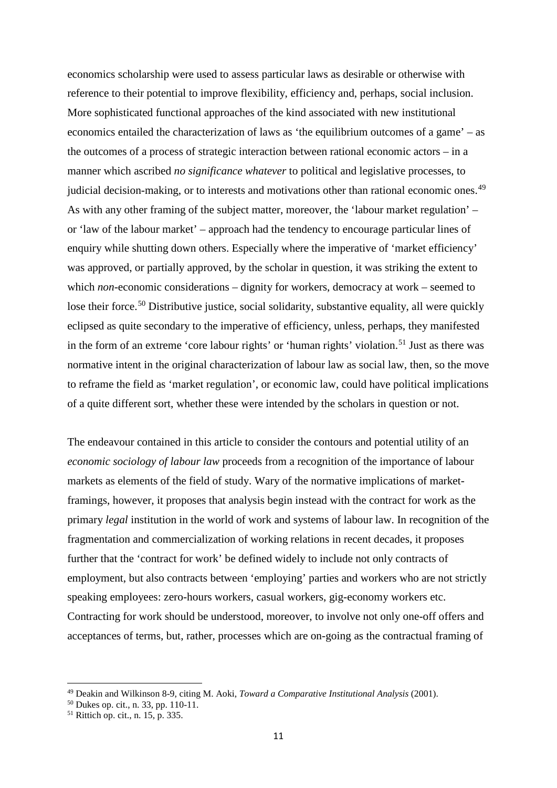economics scholarship were used to assess particular laws as desirable or otherwise with reference to their potential to improve flexibility, efficiency and, perhaps, social inclusion. More sophisticated functional approaches of the kind associated with new institutional economics entailed the characterization of laws as 'the equilibrium outcomes of a game' – as the outcomes of a process of strategic interaction between rational economic actors – in a manner which ascribed *no significance whatever* to political and legislative processes, to judicial decision-making, or to interests and motivations other than rational economic ones.<sup>[49](#page-11-0)</sup> As with any other framing of the subject matter, moreover, the 'labour market regulation' – or 'law of the labour market' – approach had the tendency to encourage particular lines of enquiry while shutting down others. Especially where the imperative of 'market efficiency' was approved, or partially approved, by the scholar in question, it was striking the extent to which *non*-economic considerations – dignity for workers, democracy at work – seemed to lose their force.<sup>[50](#page-11-1)</sup> Distributive justice, social solidarity, substantive equality, all were quickly eclipsed as quite secondary to the imperative of efficiency, unless, perhaps, they manifested in the form of an extreme 'core labour rights' or 'human rights' violation.<sup>[51](#page-11-2)</sup> Just as there was normative intent in the original characterization of labour law as social law, then, so the move to reframe the field as 'market regulation', or economic law, could have political implications of a quite different sort, whether these were intended by the scholars in question or not.

The endeavour contained in this article to consider the contours and potential utility of an *economic sociology of labour law* proceeds from a recognition of the importance of labour markets as elements of the field of study. Wary of the normative implications of marketframings, however, it proposes that analysis begin instead with the contract for work as the primary *legal* institution in the world of work and systems of labour law. In recognition of the fragmentation and commercialization of working relations in recent decades, it proposes further that the 'contract for work' be defined widely to include not only contracts of employment, but also contracts between 'employing' parties and workers who are not strictly speaking employees: zero-hours workers, casual workers, gig-economy workers etc. Contracting for work should be understood, moreover, to involve not only one-off offers and acceptances of terms, but, rather, processes which are on-going as the contractual framing of

<span id="page-11-0"></span><sup>49</sup> Deakin and Wilkinson 8-9, citing M. Aoki, *Toward a Comparative Institutional Analysis* (2001).

<span id="page-11-1"></span><sup>50</sup> Dukes op. cit., n. 33, pp. 110-11.

<span id="page-11-2"></span><sup>51</sup> Rittich op. cit., n. 15, p. 335.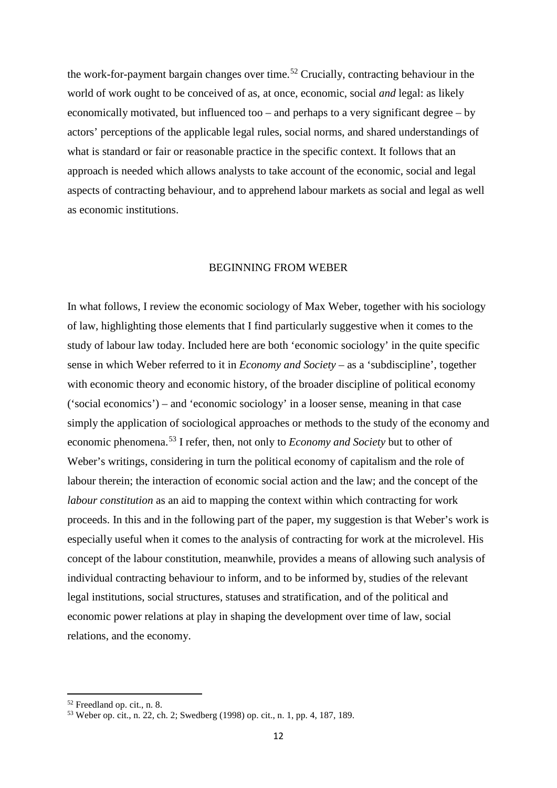the work-for-payment bargain changes over time.<sup>[52](#page-12-0)</sup> Crucially, contracting behaviour in the world of work ought to be conceived of as, at once, economic, social *and* legal: as likely economically motivated, but influenced too – and perhaps to a very significant degree – by actors' perceptions of the applicable legal rules, social norms, and shared understandings of what is standard or fair or reasonable practice in the specific context. It follows that an approach is needed which allows analysts to take account of the economic, social and legal aspects of contracting behaviour, and to apprehend labour markets as social and legal as well as economic institutions.

## BEGINNING FROM WEBER

In what follows, I review the economic sociology of Max Weber, together with his sociology of law, highlighting those elements that I find particularly suggestive when it comes to the study of labour law today. Included here are both 'economic sociology' in the quite specific sense in which Weber referred to it in *Economy and Society* – as a 'subdiscipline', together with economic theory and economic history, of the broader discipline of political economy ('social economics') – and 'economic sociology' in a looser sense, meaning in that case simply the application of sociological approaches or methods to the study of the economy and economic phenomena. [53](#page-12-1) I refer, then, not only to *Economy and Society* but to other of Weber's writings, considering in turn the political economy of capitalism and the role of labour therein; the interaction of economic social action and the law; and the concept of the *labour constitution* as an aid to mapping the context within which contracting for work proceeds. In this and in the following part of the paper, my suggestion is that Weber's work is especially useful when it comes to the analysis of contracting for work at the microlevel. His concept of the labour constitution, meanwhile, provides a means of allowing such analysis of individual contracting behaviour to inform, and to be informed by, studies of the relevant legal institutions, social structures, statuses and stratification, and of the political and economic power relations at play in shaping the development over time of law, social relations, and the economy.

<span id="page-12-0"></span><sup>52</sup> Freedland op. cit., n. 8.

<span id="page-12-1"></span><sup>53</sup> Weber op. cit., n. 22, ch. 2; Swedberg (1998) op. cit., n. 1, pp. 4, 187, 189.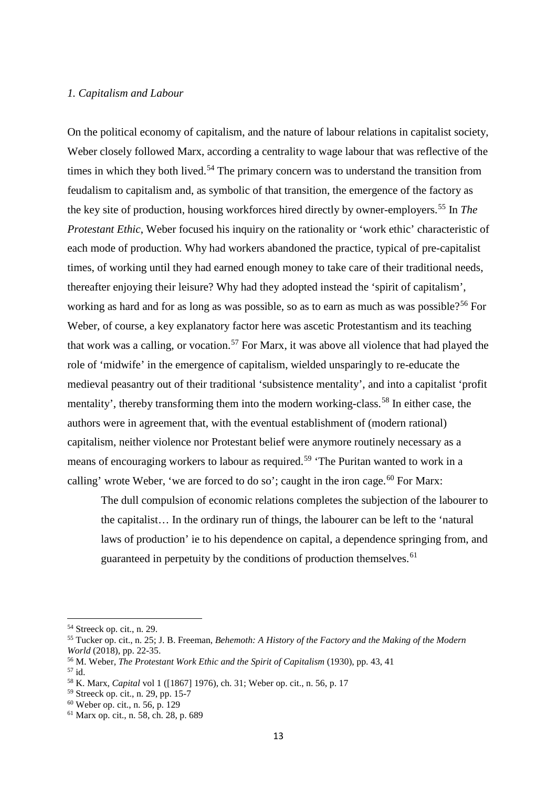## *1. Capitalism and Labour*

On the political economy of capitalism, and the nature of labour relations in capitalist society, Weber closely followed Marx, according a centrality to wage labour that was reflective of the times in which they both lived.<sup>[54](#page-13-0)</sup> The primary concern was to understand the transition from feudalism to capitalism and, as symbolic of that transition, the emergence of the factory as the key site of production, housing workforces hired directly by owner-employers.[55](#page-13-1) In *The Protestant Ethic*, Weber focused his inquiry on the rationality or 'work ethic' characteristic of each mode of production. Why had workers abandoned the practice, typical of pre-capitalist times, of working until they had earned enough money to take care of their traditional needs, thereafter enjoying their leisure? Why had they adopted instead the 'spirit of capitalism', working as hard and for as long as was possible, so as to earn as much as was possible?<sup>[56](#page-13-2)</sup> For Weber, of course, a key explanatory factor here was ascetic Protestantism and its teaching that work was a calling, or vocation. [57](#page-13-3) For Marx, it was above all violence that had played the role of 'midwife' in the emergence of capitalism, wielded unsparingly to re-educate the medieval peasantry out of their traditional 'subsistence mentality', and into a capitalist 'profit mentality', thereby transforming them into the modern working-class.<sup>[58](#page-13-4)</sup> In either case, the authors were in agreement that, with the eventual establishment of (modern rational) capitalism, neither violence nor Protestant belief were anymore routinely necessary as a means of encouraging workers to labour as required.<sup>[59](#page-13-5)</sup> 'The Puritan wanted to work in a calling' wrote Weber, 'we are forced to do so'; caught in the iron cage. $60$  For Marx:

The dull compulsion of economic relations completes the subjection of the labourer to the capitalist… In the ordinary run of things, the labourer can be left to the 'natural laws of production' ie to his dependence on capital, a dependence springing from, and guaranteed in perpetuity by the conditions of production themselves.<sup>[61](#page-13-7)</sup>

<span id="page-13-0"></span><sup>54</sup> Streeck op. cit., n. 29.

<span id="page-13-1"></span><sup>55</sup> Tucker op. cit., n. 25; J. B. Freeman, *Behemoth: A History of the Factory and the Making of the Modern World* (2018), pp. 22-35.

<span id="page-13-2"></span><sup>56</sup> M. Weber, *The Protestant Work Ethic and the Spirit of Capitalism* (1930), pp. 43, 41

<span id="page-13-3"></span><sup>57</sup> id.

<span id="page-13-4"></span><sup>58</sup> K. Marx, *Capital* vol 1 ([1867] 1976), ch. 31; Weber op. cit., n. 56, p. 17

<span id="page-13-5"></span><sup>59</sup> Streeck op. cit., n. 29, pp. 15-7

<span id="page-13-6"></span><sup>60</sup> Weber op. cit., n. 56, p. 129

<span id="page-13-7"></span><sup>61</sup> Marx op. cit., n. 58, ch. 28, p. 689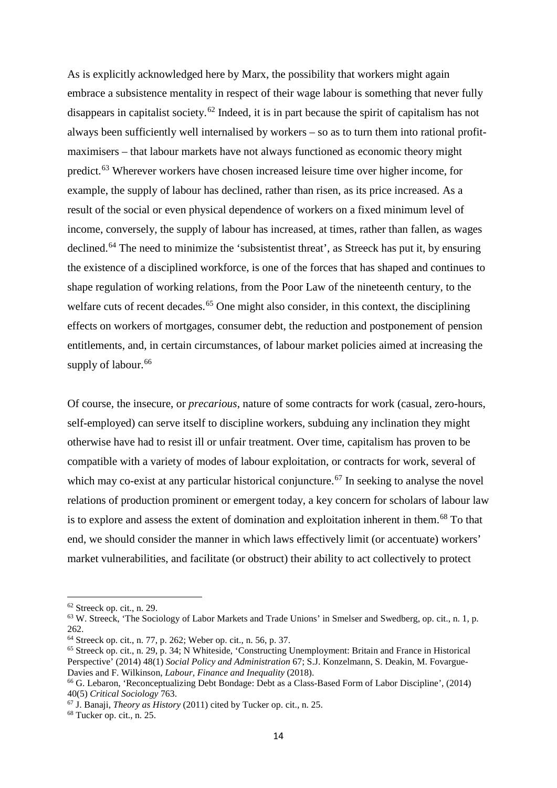As is explicitly acknowledged here by Marx, the possibility that workers might again embrace a subsistence mentality in respect of their wage labour is something that never fully disappears in capitalist society.<sup>[62](#page-14-0)</sup> Indeed, it is in part because the spirit of capitalism has not always been sufficiently well internalised by workers – so as to turn them into rational profitmaximisers – that labour markets have not always functioned as economic theory might predict.[63](#page-14-1) Wherever workers have chosen increased leisure time over higher income, for example, the supply of labour has declined, rather than risen, as its price increased. As a result of the social or even physical dependence of workers on a fixed minimum level of income, conversely, the supply of labour has increased, at times, rather than fallen, as wages declined.<sup>[64](#page-14-2)</sup> The need to minimize the 'subsistentist threat', as Streeck has put it, by ensuring the existence of a disciplined workforce, is one of the forces that has shaped and continues to shape regulation of working relations, from the Poor Law of the nineteenth century, to the welfare cuts of recent decades.<sup>[65](#page-14-3)</sup> One might also consider, in this context, the disciplining effects on workers of mortgages, consumer debt, the reduction and postponement of pension entitlements, and, in certain circumstances, of labour market policies aimed at increasing the supply of labour.<sup>[66](#page-14-4)</sup>

Of course, the insecure, or *precarious*, nature of some contracts for work (casual, zero-hours, self-employed) can serve itself to discipline workers, subduing any inclination they might otherwise have had to resist ill or unfair treatment. Over time, capitalism has proven to be compatible with a variety of modes of labour exploitation, or contracts for work, several of which may co-exist at any particular historical conjuncture.<sup>[67](#page-14-5)</sup> In seeking to analyse the novel relations of production prominent or emergent today, a key concern for scholars of labour law is to explore and assess the extent of domination and exploitation inherent in them.<sup>[68](#page-14-6)</sup> To that end, we should consider the manner in which laws effectively limit (or accentuate) workers' market vulnerabilities, and facilitate (or obstruct) their ability to act collectively to protect

<span id="page-14-0"></span><sup>62</sup> Streeck op. cit., n. 29.

<span id="page-14-1"></span><sup>63</sup> W. Streeck, 'The Sociology of Labor Markets and Trade Unions' in Smelser and Swedberg, op. cit., n. 1, p. 262.

<span id="page-14-2"></span><sup>64</sup> Streeck op. cit., n. 77, p. 262; Weber op. cit., n. 56, p. 37.

<span id="page-14-3"></span><sup>&</sup>lt;sup>65</sup> Streeck op. cit., n. 29, p. 34; N Whiteside, 'Constructing Unemployment: Britain and France in Historical Perspective' (2014) 48(1) *Social Policy and Administration* 67; S.J. Konzelmann, S. Deakin, M. Fovargue-Davies and F. Wilkinson, *Labour, Finance and Inequality* (2018).

<span id="page-14-4"></span><sup>66</sup> G. Lebaron, 'Reconceptualizing Debt Bondage: Debt as a Class-Based Form of Labor Discipline', (2014) 40(5) *Critical Sociology* 763.

<span id="page-14-5"></span><sup>67</sup> J. Banaji, *Theory as History* (2011) cited by Tucker op. cit., n. 25.

<span id="page-14-6"></span> $68$  Tucker op. cit., n. 25.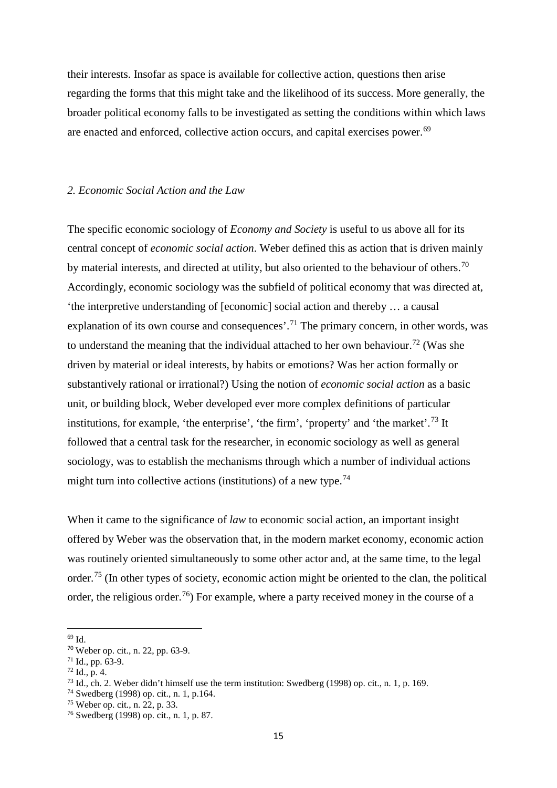their interests. Insofar as space is available for collective action, questions then arise regarding the forms that this might take and the likelihood of its success. More generally, the broader political economy falls to be investigated as setting the conditions within which laws are enacted and enforced, collective action occurs, and capital exercises power.<sup>[69](#page-15-0)</sup>

## *2. Economic Social Action and the Law*

The specific economic sociology of *Economy and Society* is useful to us above all for its central concept of *economic social action*. Weber defined this as action that is driven mainly by material interests, and directed at utility, but also oriented to the behaviour of others.<sup>[70](#page-15-1)</sup> Accordingly, economic sociology was the subfield of political economy that was directed at, 'the interpretive understanding of [economic] social action and thereby … a causal explanation of its own course and consequences'.<sup>[71](#page-15-2)</sup> The primary concern, in other words, was to understand the meaning that the individual attached to her own behaviour.<sup>[72](#page-15-3)</sup> (Was she driven by material or ideal interests, by habits or emotions? Was her action formally or substantively rational or irrational?) Using the notion of *economic social action* as a basic unit, or building block, Weber developed ever more complex definitions of particular institutions, for example, 'the enterprise', 'the firm', 'property' and 'the market'.<sup>[73](#page-15-4)</sup> It followed that a central task for the researcher, in economic sociology as well as general sociology, was to establish the mechanisms through which a number of individual actions might turn into collective actions (institutions) of a new type.<sup>[74](#page-15-5)</sup>

When it came to the significance of *law* to economic social action, an important insight offered by Weber was the observation that, in the modern market economy, economic action was routinely oriented simultaneously to some other actor and, at the same time, to the legal order.[75](#page-15-6) (In other types of society, economic action might be oriented to the clan, the political order, the religious order.<sup>76</sup>) For example, where a party received money in the course of a

 $\overline{\phantom{a}}$ <sup>69</sup> Id.

<span id="page-15-1"></span><span id="page-15-0"></span><sup>70</sup> Weber op. cit., n. 22, pp. 63-9.

<span id="page-15-2"></span> $71$  Id., pp. 63-9.

<span id="page-15-3"></span> $72$  Id., p. 4.

<span id="page-15-4"></span><sup>73</sup> Id., ch. 2. Weber didn't himself use the term institution: Swedberg (1998) op. cit., n. 1, p. 169.

<span id="page-15-5"></span><sup>74</sup> Swedberg (1998) op. cit., n. 1, p.164.

<span id="page-15-6"></span><sup>75</sup> Weber op. cit., n. 22, p. 33.

<span id="page-15-7"></span><sup>76</sup> Swedberg (1998) op. cit., n. 1, p. 87.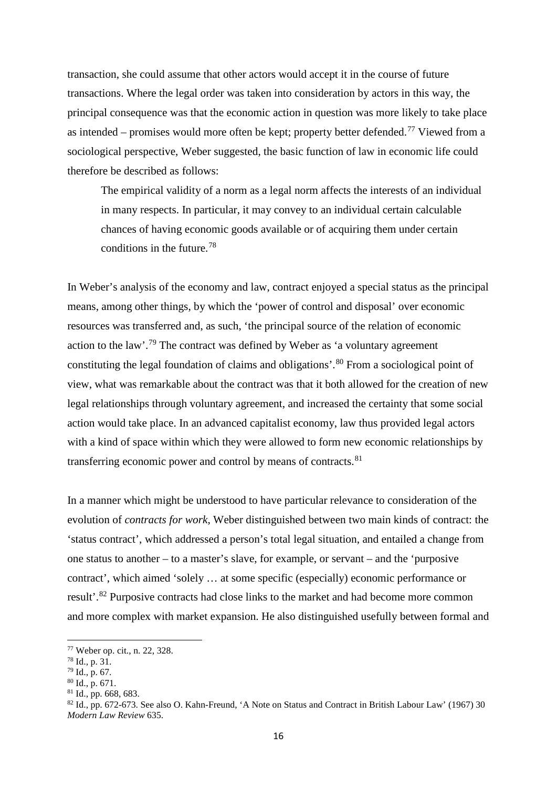transaction, she could assume that other actors would accept it in the course of future transactions. Where the legal order was taken into consideration by actors in this way, the principal consequence was that the economic action in question was more likely to take place as intended – promises would more often be kept; property better defended.<sup>[77](#page-16-0)</sup> Viewed from a sociological perspective, Weber suggested, the basic function of law in economic life could therefore be described as follows:

The empirical validity of a norm as a legal norm affects the interests of an individual in many respects. In particular, it may convey to an individual certain calculable chances of having economic goods available or of acquiring them under certain conditions in the future.[78](#page-16-1)

In Weber's analysis of the economy and law, contract enjoyed a special status as the principal means, among other things, by which the 'power of control and disposal' over economic resources was transferred and, as such, 'the principal source of the relation of economic action to the law'.<sup>[79](#page-16-2)</sup> The contract was defined by Weber as 'a voluntary agreement constituting the legal foundation of claims and obligations'.<sup>[80](#page-16-3)</sup> From a sociological point of view, what was remarkable about the contract was that it both allowed for the creation of new legal relationships through voluntary agreement, and increased the certainty that some social action would take place. In an advanced capitalist economy, law thus provided legal actors with a kind of space within which they were allowed to form new economic relationships by transferring economic power and control by means of contracts.<sup>[81](#page-16-4)</sup>

In a manner which might be understood to have particular relevance to consideration of the evolution of *contracts for work*, Weber distinguished between two main kinds of contract: the 'status contract', which addressed a person's total legal situation, and entailed a change from one status to another – to a master's slave, for example, or servant – and the 'purposive contract', which aimed 'solely … at some specific (especially) economic performance or result'.[82](#page-16-5) Purposive contracts had close links to the market and had become more common and more complex with market expansion. He also distinguished usefully between formal and

<span id="page-16-0"></span><sup>77</sup> Weber op. cit., n. 22, 328.

<span id="page-16-1"></span><sup>78</sup> Id., p. 31.

<span id="page-16-2"></span><sup>79</sup> Id., p. 67.

<span id="page-16-3"></span><sup>80</sup> Id., p. 671.

<span id="page-16-4"></span> $81$  Id., pp. 668, 683.

<span id="page-16-5"></span><sup>&</sup>lt;sup>82</sup> Id., pp. 672-673. See also O. Kahn-Freund, 'A Note on Status and Contract in British Labour Law' (1967) 30 *Modern Law Review* 635.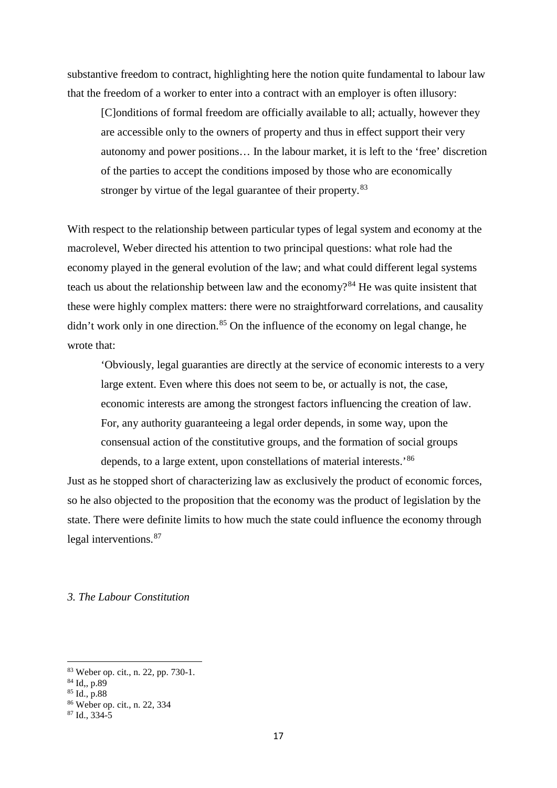substantive freedom to contract, highlighting here the notion quite fundamental to labour law that the freedom of a worker to enter into a contract with an employer is often illusory:

[C]onditions of formal freedom are officially available to all; actually, however they are accessible only to the owners of property and thus in effect support their very autonomy and power positions… In the labour market, it is left to the 'free' discretion of the parties to accept the conditions imposed by those who are economically stronger by virtue of the legal guarantee of their property.<sup>[83](#page-17-0)</sup>

With respect to the relationship between particular types of legal system and economy at the macrolevel, Weber directed his attention to two principal questions: what role had the economy played in the general evolution of the law; and what could different legal systems teach us about the relationship between law and the economy?<sup>[84](#page-17-1)</sup> He was quite insistent that these were highly complex matters: there were no straightforward correlations, and causality  $\mu$  didn't work only in one direction.<sup>[85](#page-17-2)</sup> On the influence of the economy on legal change, he wrote that:

'Obviously, legal guaranties are directly at the service of economic interests to a very large extent. Even where this does not seem to be, or actually is not, the case, economic interests are among the strongest factors influencing the creation of law. For, any authority guaranteeing a legal order depends, in some way, upon the consensual action of the constitutive groups, and the formation of social groups depends, to a large extent, upon constellations of material interests.'[86](#page-17-3)

Just as he stopped short of characterizing law as exclusively the product of economic forces, so he also objected to the proposition that the economy was the product of legislation by the state. There were definite limits to how much the state could influence the economy through legal interventions.<sup>[87](#page-17-4)</sup>

#### *3. The Labour Constitution*

<span id="page-17-0"></span><sup>83</sup> Weber op. cit., n. 22, pp. 730-1.

<span id="page-17-1"></span><sup>84</sup> Id,, p.89

<span id="page-17-2"></span> $85$  Id., p.88

<span id="page-17-3"></span><sup>86</sup> Weber op. cit., n. 22, 334

<span id="page-17-4"></span> $87$  Id., 334-5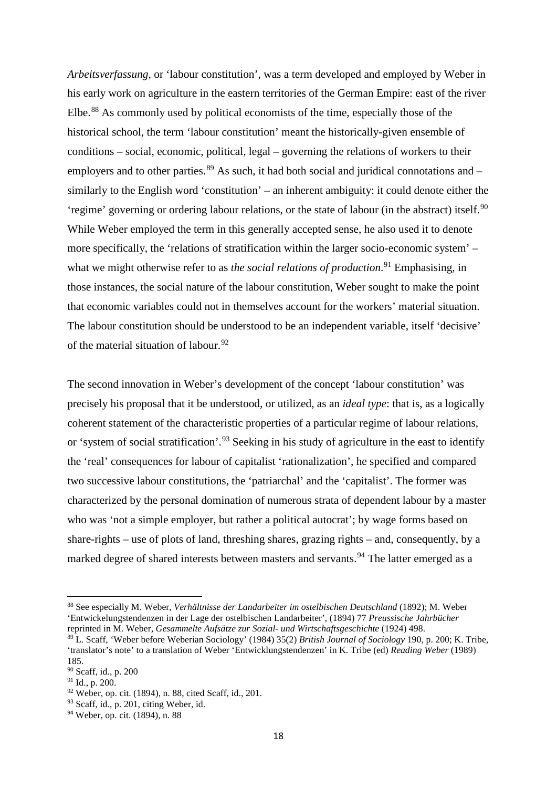*Arbeitsverfassung*, or 'labour constitution', was a term developed and employed by Weber in his early work on agriculture in the eastern territories of the German Empire: east of the river Elbe.<sup>[88](#page-18-0)</sup> As commonly used by political economists of the time, especially those of the historical school, the term 'labour constitution' meant the historically-given ensemble of conditions – social, economic, political, legal – governing the relations of workers to their employers and to other parties.<sup>[89](#page-18-1)</sup> As such, it had both social and juridical connotations and  $$ similarly to the English word 'constitution' – an inherent ambiguity: it could denote either the 'regime' governing or ordering labour relations, or the state of labour (in the abstract) itself.<sup>[90](#page-18-2)</sup> While Weber employed the term in this generally accepted sense, he also used it to denote more specifically, the 'relations of stratification within the larger socio-economic system' – what we might otherwise refer to as *the social relations of production*. [91](#page-18-3) Emphasising, in those instances, the social nature of the labour constitution, Weber sought to make the point that economic variables could not in themselves account for the workers' material situation. The labour constitution should be understood to be an independent variable, itself 'decisive' of the material situation of labour.<sup>[92](#page-18-4)</sup>

The second innovation in Weber's development of the concept 'labour constitution' was precisely his proposal that it be understood, or utilized, as an *ideal type*: that is, as a logically coherent statement of the characteristic properties of a particular regime of labour relations, or 'system of social stratification'.<sup>[93](#page-18-5)</sup> Seeking in his study of agriculture in the east to identify the 'real' consequences for labour of capitalist 'rationalization', he specified and compared two successive labour constitutions, the 'patriarchal' and the 'capitalist'. The former was characterized by the personal domination of numerous strata of dependent labour by a master who was 'not a simple employer, but rather a political autocrat'; by wage forms based on share-rights – use of plots of land, threshing shares, grazing rights – and, consequently, by a marked degree of shared interests between masters and servants.<sup>[94](#page-18-6)</sup> The latter emerged as a

<span id="page-18-0"></span><sup>88</sup> See especially M. Weber, *Verhältnisse der Landarbeiter im ostelbischen Deutschland* (1892); M. Weber 'Entwickelungstendenzen in der Lage der ostelbischen Landarbeiter', (1894) 77 *Preussische Jahrbücher* reprinted in M. Weber, *Gesammelte Aufsätze zur Sozial- und Wirtschaftsgeschichte* (1924) 498.

<span id="page-18-1"></span><sup>89</sup> L. Scaff, 'Weber before Weberian Sociology' (1984) 35(2) *British Journal of Sociology* 190, p. 200; K. Tribe, 'translator's note' to a translation of Weber 'Entwicklungstendenzen' in K. Tribe (ed) *Reading Weber* (1989) 185.

<span id="page-18-2"></span><sup>90</sup> Scaff, id., p. 200

<span id="page-18-3"></span><sup>91</sup> Id., p. 200.

<span id="page-18-4"></span> $92$  Weber, op. cit. (1894), n. 88, cited Scaff, id., 201.

<span id="page-18-5"></span><sup>&</sup>lt;sup>93</sup> Scaff, id., p. 201, citing Weber, id.

<span id="page-18-6"></span><sup>94</sup> Weber, op. cit. (1894), n. 88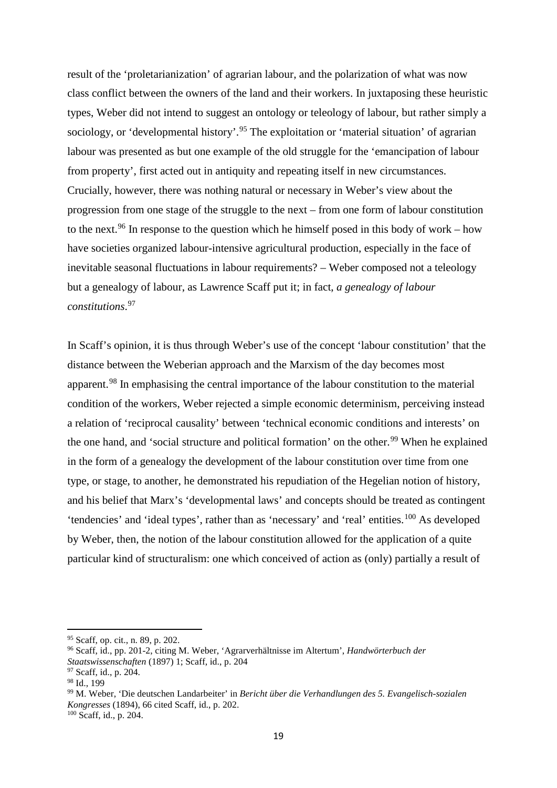result of the 'proletarianization' of agrarian labour, and the polarization of what was now class conflict between the owners of the land and their workers. In juxtaposing these heuristic types, Weber did not intend to suggest an ontology or teleology of labour, but rather simply a sociology, or 'developmental history'.<sup>[95](#page-19-0)</sup> The exploitation or 'material situation' of agrarian labour was presented as but one example of the old struggle for the 'emancipation of labour from property', first acted out in antiquity and repeating itself in new circumstances. Crucially, however, there was nothing natural or necessary in Weber's view about the progression from one stage of the struggle to the next – from one form of labour constitution to the next.<sup>[96](#page-19-1)</sup> In response to the question which he himself posed in this body of work – how have societies organized labour-intensive agricultural production, especially in the face of inevitable seasonal fluctuations in labour requirements? – Weber composed not a teleology but a genealogy of labour, as Lawrence Scaff put it; in fact, *a genealogy of labour constitutions*. [97](#page-19-2)

In Scaff's opinion, it is thus through Weber's use of the concept 'labour constitution' that the distance between the Weberian approach and the Marxism of the day becomes most apparent.<sup>[98](#page-19-3)</sup> In emphasising the central importance of the labour constitution to the material condition of the workers, Weber rejected a simple economic determinism, perceiving instead a relation of 'reciprocal causality' between 'technical economic conditions and interests' on the one hand, and 'social structure and political formation' on the other.<sup>[99](#page-19-4)</sup> When he explained in the form of a genealogy the development of the labour constitution over time from one type, or stage, to another, he demonstrated his repudiation of the Hegelian notion of history, and his belief that Marx's 'developmental laws' and concepts should be treated as contingent 'tendencies' and 'ideal types', rather than as 'necessary' and 'real' entities.[100](#page-19-5) As developed by Weber, then, the notion of the labour constitution allowed for the application of a quite particular kind of structuralism: one which conceived of action as (only) partially a result of

<span id="page-19-0"></span><sup>95</sup> Scaff, op. cit., n. 89, p. 202.

<span id="page-19-1"></span><sup>96</sup> Scaff, id., pp. 201-2, citing M. Weber, 'Agrarverhältnisse im Altertum', *Handwörterbuch der Staatswissenschaften* (1897) 1; Scaff, id., p. 204

<span id="page-19-2"></span><sup>97</sup> Scaff, id., p. 204.

<span id="page-19-3"></span><sup>98</sup> Id., 199

<span id="page-19-4"></span><sup>99</sup> M. Weber, 'Die deutschen Landarbeiter' in *Bericht über die Verhandlungen des 5. Evangelisch-sozialen Kongresses* (1894), 66 cited Scaff, id., p. 202.

<span id="page-19-5"></span><sup>100</sup> Scaff, id., p. 204.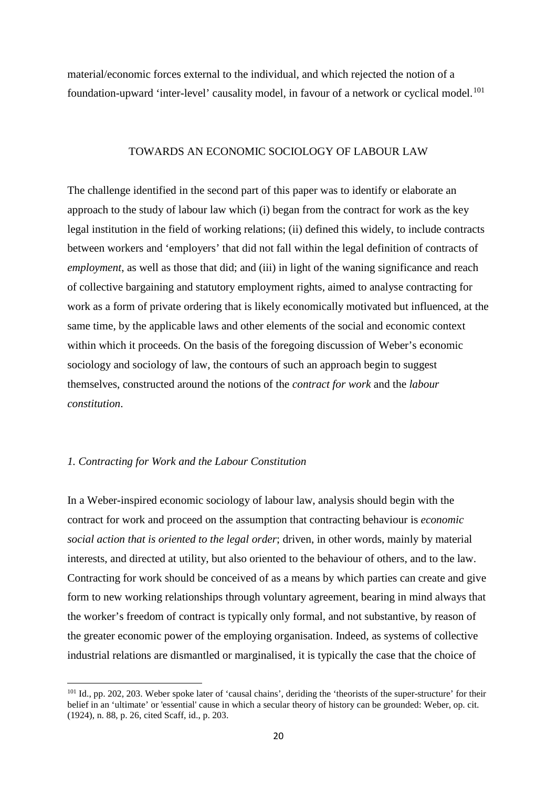material/economic forces external to the individual, and which rejected the notion of a foundation-upward 'inter-level' causality model, in favour of a network or cyclical model.<sup>[101](#page-20-0)</sup>

# TOWARDS AN ECONOMIC SOCIOLOGY OF LABOUR LAW

The challenge identified in the second part of this paper was to identify or elaborate an approach to the study of labour law which (i) began from the contract for work as the key legal institution in the field of working relations; (ii) defined this widely, to include contracts between workers and 'employers' that did not fall within the legal definition of contracts of *employment*, as well as those that did; and (iii) in light of the waning significance and reach of collective bargaining and statutory employment rights, aimed to analyse contracting for work as a form of private ordering that is likely economically motivated but influenced, at the same time, by the applicable laws and other elements of the social and economic context within which it proceeds. On the basis of the foregoing discussion of Weber's economic sociology and sociology of law, the contours of such an approach begin to suggest themselves, constructed around the notions of the *contract for work* and the *labour constitution*.

## *1. Contracting for Work and the Labour Constitution*

**.** 

In a Weber-inspired economic sociology of labour law, analysis should begin with the contract for work and proceed on the assumption that contracting behaviour is *economic social action that is oriented to the legal order*; driven, in other words, mainly by material interests, and directed at utility, but also oriented to the behaviour of others, and to the law. Contracting for work should be conceived of as a means by which parties can create and give form to new working relationships through voluntary agreement, bearing in mind always that the worker's freedom of contract is typically only formal, and not substantive, by reason of the greater economic power of the employing organisation. Indeed, as systems of collective industrial relations are dismantled or marginalised, it is typically the case that the choice of

<span id="page-20-0"></span><sup>&</sup>lt;sup>101</sup> Id., pp. 202, 203. Weber spoke later of 'causal chains', deriding the 'theorists of the super-structure' for their belief in an 'ultimate' or 'essential' cause in which a secular theory of history can be grounded: Weber, op. cit. (1924), n. 88, p. 26, cited Scaff, id., p. 203.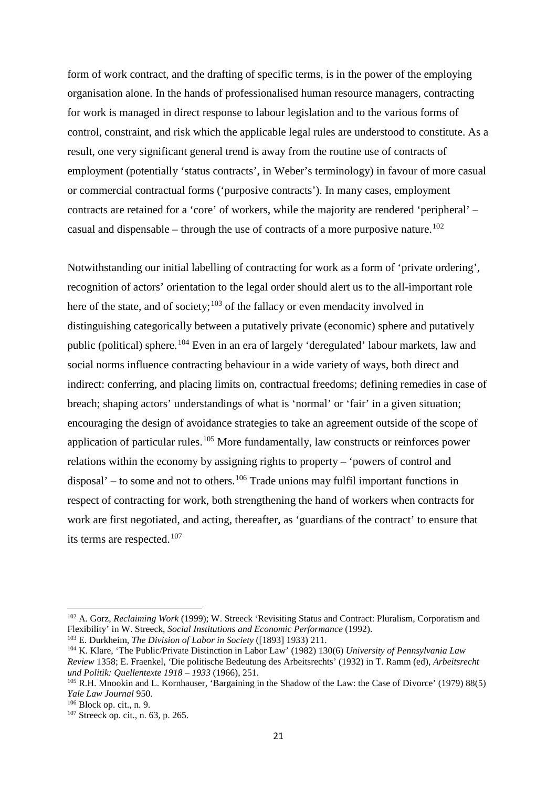form of work contract, and the drafting of specific terms, is in the power of the employing organisation alone. In the hands of professionalised human resource managers, contracting for work is managed in direct response to labour legislation and to the various forms of control, constraint, and risk which the applicable legal rules are understood to constitute. As a result, one very significant general trend is away from the routine use of contracts of employment (potentially 'status contracts', in Weber's terminology) in favour of more casual or commercial contractual forms ('purposive contracts'). In many cases, employment contracts are retained for a 'core' of workers, while the majority are rendered 'peripheral' – casual and dispensable – through the use of contracts of a more purposive nature.<sup>[102](#page-21-0)</sup>

Notwithstanding our initial labelling of contracting for work as a form of 'private ordering', recognition of actors' orientation to the legal order should alert us to the all-important role here of the state, and of society;<sup>[103](#page-21-1)</sup> of the fallacy or even mendacity involved in distinguishing categorically between a putatively private (economic) sphere and putatively public (political) sphere.<sup>[104](#page-21-2)</sup> Even in an era of largely 'deregulated' labour markets, law and social norms influence contracting behaviour in a wide variety of ways, both direct and indirect: conferring, and placing limits on, contractual freedoms; defining remedies in case of breach; shaping actors' understandings of what is 'normal' or 'fair' in a given situation; encouraging the design of avoidance strategies to take an agreement outside of the scope of application of particular rules.<sup>[105](#page-21-3)</sup> More fundamentally, law constructs or reinforces power relations within the economy by assigning rights to property – 'powers of control and disposal' – to some and not to others.<sup>[106](#page-21-4)</sup> Trade unions may fulfil important functions in respect of contracting for work, both strengthening the hand of workers when contracts for work are first negotiated, and acting, thereafter, as 'guardians of the contract' to ensure that its terms are respected.<sup>[107](#page-21-5)</sup>

<span id="page-21-0"></span><sup>102</sup> A. Gorz, *Reclaiming Work* (1999); W. Streeck 'Revisiting Status and Contract: Pluralism, Corporatism and Flexibility' in W. Streeck, *Social Institutions and Economic Performance* (1992).

<sup>103</sup> E. Durkheim, *The Division of Labor in Society* ([1893] 1933) 211.

<span id="page-21-2"></span><span id="page-21-1"></span><sup>104</sup> K. Klare, 'The Public/Private Distinction in Labor Law' (1982) 130(6) *University of Pennsylvania Law Review* 1358; E. Fraenkel, 'Die politische Bedeutung des Arbeitsrechts' (1932) in T. Ramm (ed), *Arbeitsrecht und Politik: Quellentexte 1918 – 1933* (1966), 251.

<span id="page-21-3"></span><sup>105</sup> R.H. Mnookin and L. Kornhauser, 'Bargaining in the Shadow of the Law: the Case of Divorce' (1979) 88(5) *Yale Law Journal* 950.

<span id="page-21-4"></span><sup>106</sup> Block op. cit., n. 9.

<span id="page-21-5"></span><sup>&</sup>lt;sup>107</sup> Streeck op. cit., n. 63, p. 265.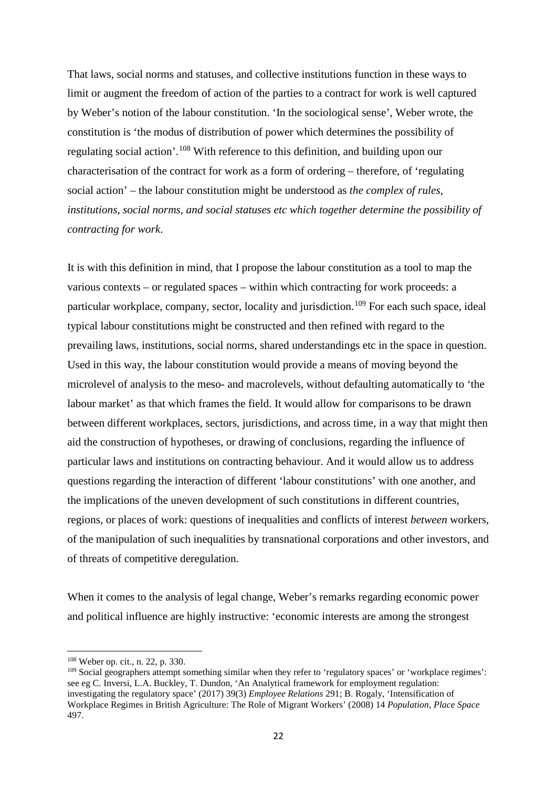That laws, social norms and statuses, and collective institutions function in these ways to limit or augment the freedom of action of the parties to a contract for work is well captured by Weber's notion of the labour constitution. 'In the sociological sense', Weber wrote, the constitution is 'the modus of distribution of power which determines the possibility of regulating social action'.<sup>[108](#page-22-0)</sup> With reference to this definition, and building upon our characterisation of the contract for work as a form of ordering – therefore, of 'regulating social action' – the labour constitution might be understood as *the complex of rules, institutions, social norms, and social statuses etc which together determine the possibility of contracting for work*.

It is with this definition in mind, that I propose the labour constitution as a tool to map the various contexts – or regulated spaces – within which contracting for work proceeds: a particular workplace, company, sector, locality and jurisdiction.<sup>[109](#page-22-1)</sup> For each such space, ideal typical labour constitutions might be constructed and then refined with regard to the prevailing laws, institutions, social norms, shared understandings etc in the space in question. Used in this way, the labour constitution would provide a means of moving beyond the microlevel of analysis to the meso- and macrolevels, without defaulting automatically to 'the labour market' as that which frames the field. It would allow for comparisons to be drawn between different workplaces, sectors, jurisdictions, and across time, in a way that might then aid the construction of hypotheses, or drawing of conclusions, regarding the influence of particular laws and institutions on contracting behaviour. And it would allow us to address questions regarding the interaction of different 'labour constitutions' with one another, and the implications of the uneven development of such constitutions in different countries, regions, or places of work: questions of inequalities and conflicts of interest *between* workers, of the manipulation of such inequalities by transnational corporations and other investors, and of threats of competitive deregulation.

When it comes to the analysis of legal change, Weber's remarks regarding economic power and political influence are highly instructive: 'economic interests are among the strongest

<span id="page-22-0"></span><sup>108</sup> Weber op. cit., n. 22, p. 330.

<span id="page-22-1"></span><sup>&</sup>lt;sup>109</sup> Social geographers attempt something similar when they refer to 'regulatory spaces' or 'workplace regimes': see eg C. Inversi, L.A. Buckley, T. Dundon, 'An Analytical framework for employment regulation: investigating the regulatory space' (2017) 39(3) *Employee Relations* 291; B. Rogaly, 'Intensification of Workplace Regimes in British Agriculture: The Role of Migrant Workers' (2008) 14 *Population, Place Space* 497.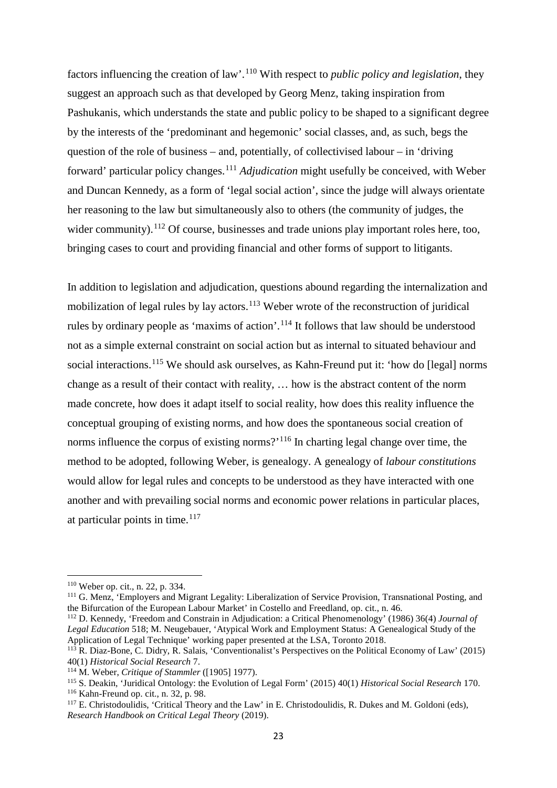factors influencing the creation of law'.[110](#page-23-0) With respect to *public policy and legislation*, they suggest an approach such as that developed by Georg Menz, taking inspiration from Pashukanis, which understands the state and public policy to be shaped to a significant degree by the interests of the 'predominant and hegemonic' social classes, and, as such, begs the question of the role of business – and, potentially, of collectivised labour – in 'driving forward' particular policy changes. [111](#page-23-1) *Adjudication* might usefully be conceived, with Weber and Duncan Kennedy, as a form of 'legal social action', since the judge will always orientate her reasoning to the law but simultaneously also to others (the community of judges, the wider community).<sup>[112](#page-23-2)</sup> Of course, businesses and trade unions play important roles here, too, bringing cases to court and providing financial and other forms of support to litigants.

In addition to legislation and adjudication, questions abound regarding the internalization and mobilization of legal rules by lay actors.<sup>[113](#page-23-3)</sup> Weber wrote of the reconstruction of juridical rules by ordinary people as 'maxims of action'.<sup>[114](#page-23-4)</sup> It follows that law should be understood not as a simple external constraint on social action but as internal to situated behaviour and social interactions.<sup>[115](#page-23-5)</sup> We should ask ourselves, as Kahn-Freund put it: 'how do [legal] norms change as a result of their contact with reality, … how is the abstract content of the norm made concrete, how does it adapt itself to social reality, how does this reality influence the conceptual grouping of existing norms, and how does the spontaneous social creation of norms influence the corpus of existing norms?<sup>'[116](#page-23-6)</sup> In charting legal change over time, the method to be adopted, following Weber, is genealogy. A genealogy of *labour constitutions* would allow for legal rules and concepts to be understood as they have interacted with one another and with prevailing social norms and economic power relations in particular places, at particular points in time. $117$ 

<u>.</u>

<span id="page-23-0"></span><sup>110</sup> Weber op. cit., n. 22, p. 334.

<span id="page-23-1"></span><sup>111</sup> G. Menz, 'Employers and Migrant Legality: Liberalization of Service Provision, Transnational Posting, and the Bifurcation of the European Labour Market' in Costello and Freedland, op. cit., n. 46.

<span id="page-23-2"></span><sup>112</sup> D. Kennedy, 'Freedom and Constrain in Adjudication: a Critical Phenomenology' (1986) 36(4) *Journal of Legal Education* 518; M. Neugebauer, 'Atypical Work and Employment Status: A Genealogical Study of the Application of Legal Technique' working paper presented at the LSA, Toronto 2018.

<span id="page-23-3"></span><sup>&</sup>lt;sup>113</sup> R. Diaz-Bone, C. Didry, R. Salais, 'Conventionalist's Perspectives on the Political Economy of Law' (2015) 40(1) *Historical Social Research* 7.

<span id="page-23-4"></span><sup>114</sup> M. Weber, *Critique of Stammler* ([1905] 1977).

<span id="page-23-5"></span><sup>115</sup> S. Deakin, 'Juridical Ontology: the Evolution of Legal Form' (2015) 40(1) *Historical Social Research* 170. <sup>116</sup> Kahn-Freund op. cit., n. 32, p. 98.

<span id="page-23-7"></span><span id="page-23-6"></span><sup>117</sup> E. Christodoulidis, 'Critical Theory and the Law' in E. Christodoulidis, R. Dukes and M. Goldoni (eds), *Research Handbook on Critical Legal Theory* (2019).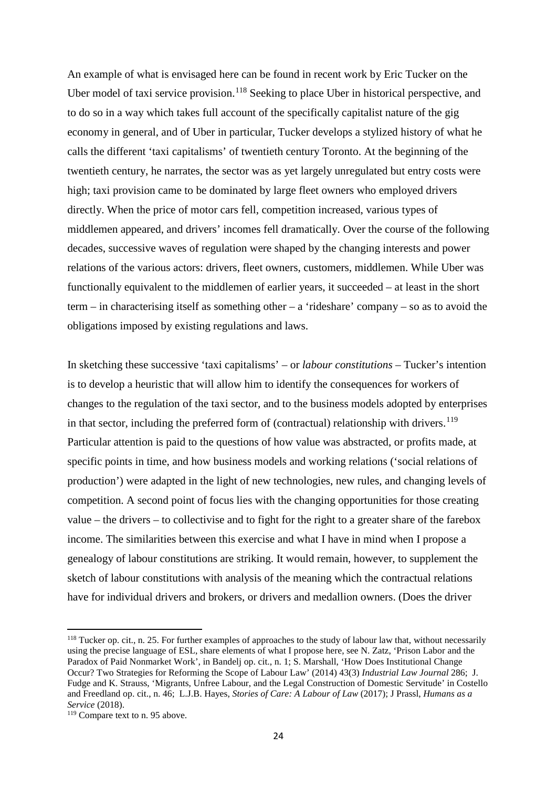An example of what is envisaged here can be found in recent work by Eric Tucker on the Uber model of taxi service provision.<sup>[118](#page-24-0)</sup> Seeking to place Uber in historical perspective, and to do so in a way which takes full account of the specifically capitalist nature of the gig economy in general, and of Uber in particular, Tucker develops a stylized history of what he calls the different 'taxi capitalisms' of twentieth century Toronto. At the beginning of the twentieth century, he narrates, the sector was as yet largely unregulated but entry costs were high; taxi provision came to be dominated by large fleet owners who employed drivers directly. When the price of motor cars fell, competition increased, various types of middlemen appeared, and drivers' incomes fell dramatically. Over the course of the following decades, successive waves of regulation were shaped by the changing interests and power relations of the various actors: drivers, fleet owners, customers, middlemen. While Uber was functionally equivalent to the middlemen of earlier years, it succeeded – at least in the short term – in characterising itself as something other – a 'rideshare' company – so as to avoid the obligations imposed by existing regulations and laws.

In sketching these successive 'taxi capitalisms' – or *labour constitutions* – Tucker's intention is to develop a heuristic that will allow him to identify the consequences for workers of changes to the regulation of the taxi sector, and to the business models adopted by enterprises in that sector, including the preferred form of (contractual) relationship with drivers.<sup>[119](#page-24-1)</sup> Particular attention is paid to the questions of how value was abstracted, or profits made, at specific points in time, and how business models and working relations ('social relations of production') were adapted in the light of new technologies, new rules, and changing levels of competition. A second point of focus lies with the changing opportunities for those creating value – the drivers – to collectivise and to fight for the right to a greater share of the farebox income. The similarities between this exercise and what I have in mind when I propose a genealogy of labour constitutions are striking. It would remain, however, to supplement the sketch of labour constitutions with analysis of the meaning which the contractual relations have for individual drivers and brokers, or drivers and medallion owners. (Does the driver

<span id="page-24-0"></span><sup>&</sup>lt;sup>118</sup> Tucker op. cit., n. 25. For further examples of approaches to the study of labour law that, without necessarily using the precise language of ESL, share elements of what I propose here, see N. Zatz, 'Prison Labor and the Paradox of Paid Nonmarket Work', in Bandelj op. cit., n. 1; S. Marshall, 'How Does Institutional Change Occur? Two Strategies for Reforming the Scope of Labour Law' (2014) 43(3) *Industrial Law Journal* 286; J. Fudge and K. Strauss, 'Migrants, Unfree Labour, and the Legal Construction of Domestic Servitude' in Costello and Freedland op. cit., n. 46; L.J.B. Hayes, *Stories of Care: A Labour of Law* (2017); J Prassl, *Humans as a Service* (2018).

<span id="page-24-1"></span><sup>&</sup>lt;sup>119</sup> Compare text to n. 95 above.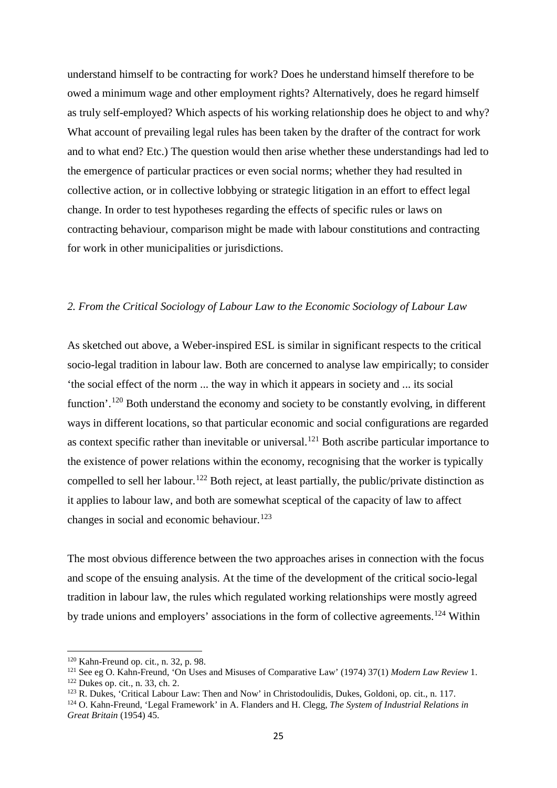understand himself to be contracting for work? Does he understand himself therefore to be owed a minimum wage and other employment rights? Alternatively, does he regard himself as truly self-employed? Which aspects of his working relationship does he object to and why? What account of prevailing legal rules has been taken by the drafter of the contract for work and to what end? Etc.) The question would then arise whether these understandings had led to the emergence of particular practices or even social norms; whether they had resulted in collective action, or in collective lobbying or strategic litigation in an effort to effect legal change. In order to test hypotheses regarding the effects of specific rules or laws on contracting behaviour, comparison might be made with labour constitutions and contracting for work in other municipalities or jurisdictions.

#### *2. From the Critical Sociology of Labour Law to the Economic Sociology of Labour Law*

As sketched out above, a Weber-inspired ESL is similar in significant respects to the critical socio-legal tradition in labour law. Both are concerned to analyse law empirically; to consider 'the social effect of the norm ... the way in which it appears in society and ... its social function'.<sup>[120](#page-25-0)</sup> Both understand the economy and society to be constantly evolving, in different ways in different locations, so that particular economic and social configurations are regarded as context specific rather than inevitable or universal.<sup>[121](#page-25-1)</sup> Both ascribe particular importance to the existence of power relations within the economy, recognising that the worker is typically compelled to sell her labour.<sup>[122](#page-25-2)</sup> Both reject, at least partially, the public/private distinction as it applies to labour law, and both are somewhat sceptical of the capacity of law to affect changes in social and economic behaviour. [123](#page-25-3)

The most obvious difference between the two approaches arises in connection with the focus and scope of the ensuing analysis. At the time of the development of the critical socio-legal tradition in labour law, the rules which regulated working relationships were mostly agreed by trade unions and employers' associations in the form of collective agreements.<sup>[124](#page-25-4)</sup> Within

<span id="page-25-0"></span><sup>120</sup> Kahn-Freund op. cit., n. 32, p. 98.

<span id="page-25-1"></span><sup>&</sup>lt;sup>121</sup> See eg O. Kahn-Freund, 'On Uses and Misuses of Comparative Law' (1974) 37(1) *Modern Law Review* 1.<br><sup>122</sup> Dukes op. cit., n. 33, ch. 2.

<span id="page-25-3"></span><span id="page-25-2"></span><sup>123</sup> R. Dukes, 'Critical Labour Law: Then and Now' in Christodoulidis, Dukes, Goldoni, op. cit., n. 117.

<span id="page-25-4"></span><sup>124</sup> O. Kahn-Freund, 'Legal Framework' in A. Flanders and H. Clegg, *The System of Industrial Relations in Great Britain* (1954) 45.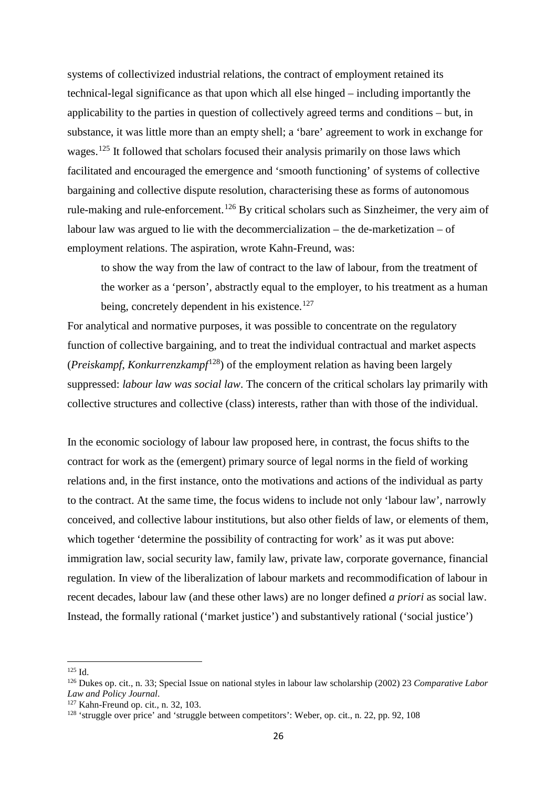systems of collectivized industrial relations, the contract of employment retained its technical-legal significance as that upon which all else hinged – including importantly the applicability to the parties in question of collectively agreed terms and conditions – but, in substance, it was little more than an empty shell; a 'bare' agreement to work in exchange for wages.<sup>[125](#page-26-0)</sup> It followed that scholars focused their analysis primarily on those laws which facilitated and encouraged the emergence and 'smooth functioning' of systems of collective bargaining and collective dispute resolution, characterising these as forms of autonomous rule-making and rule-enforcement.<sup>[126](#page-26-1)</sup> By critical scholars such as Sinzheimer, the very aim of labour law was argued to lie with the decommercialization – the de-marketization – of employment relations. The aspiration, wrote Kahn-Freund, was:

to show the way from the law of contract to the law of labour, from the treatment of the worker as a 'person', abstractly equal to the employer, to his treatment as a human being, concretely dependent in his existence.<sup>[127](#page-26-2)</sup>

For analytical and normative purposes, it was possible to concentrate on the regulatory function of collective bargaining, and to treat the individual contractual and market aspects (*Preiskampf*, *Konkurrenzkampf*[128](#page-26-3)) of the employment relation as having been largely suppressed: *labour law was social law*. The concern of the critical scholars lay primarily with collective structures and collective (class) interests, rather than with those of the individual.

In the economic sociology of labour law proposed here, in contrast, the focus shifts to the contract for work as the (emergent) primary source of legal norms in the field of working relations and, in the first instance, onto the motivations and actions of the individual as party to the contract. At the same time, the focus widens to include not only 'labour law', narrowly conceived, and collective labour institutions, but also other fields of law, or elements of them, which together 'determine the possibility of contracting for work' as it was put above: immigration law, social security law, family law, private law, corporate governance, financial regulation. In view of the liberalization of labour markets and recommodification of labour in recent decades, labour law (and these other laws) are no longer defined *a priori* as social law. Instead, the formally rational ('market justice') and substantively rational ('social justice')

**<sup>.</sup>** <sup>125</sup> Id.

<span id="page-26-1"></span><span id="page-26-0"></span><sup>126</sup> Dukes op. cit., n. 33; Special Issue on national styles in labour law scholarship (2002) 23 *Comparative Labor Law and Policy Journal*.

<span id="page-26-2"></span><sup>127</sup> Kahn-Freund op. cit., n. 32, 103.

<span id="page-26-3"></span><sup>&</sup>lt;sup>128</sup> 'struggle over price' and 'struggle between competitors': Weber, op. cit., n. 22, pp. 92, 108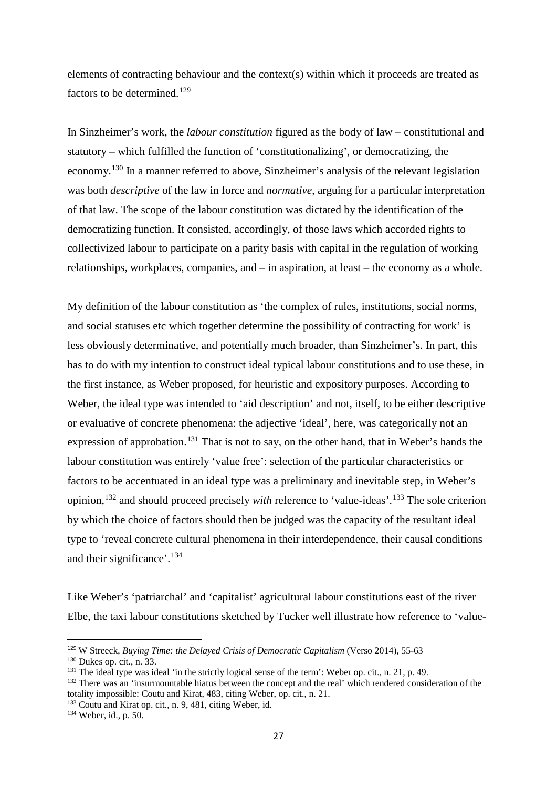elements of contracting behaviour and the context(s) within which it proceeds are treated as factors to be determined. [129](#page-27-0)

In Sinzheimer's work, the *labour constitution* figured as the body of law – constitutional and statutory – which fulfilled the function of 'constitutionalizing', or democratizing, the economy.[130](#page-27-1) In a manner referred to above, Sinzheimer's analysis of the relevant legislation was both *descriptive* of the law in force and *normative*, arguing for a particular interpretation of that law. The scope of the labour constitution was dictated by the identification of the democratizing function. It consisted, accordingly, of those laws which accorded rights to collectivized labour to participate on a parity basis with capital in the regulation of working relationships, workplaces, companies, and – in aspiration, at least – the economy as a whole.

My definition of the labour constitution as 'the complex of rules, institutions, social norms, and social statuses etc which together determine the possibility of contracting for work' is less obviously determinative, and potentially much broader, than Sinzheimer's. In part, this has to do with my intention to construct ideal typical labour constitutions and to use these, in the first instance, as Weber proposed, for heuristic and expository purposes. According to Weber, the ideal type was intended to 'aid description' and not, itself, to be either descriptive or evaluative of concrete phenomena: the adjective 'ideal', here, was categorically not an expression of approbation.<sup>[131](#page-27-2)</sup> That is not to say, on the other hand, that in Weber's hands the labour constitution was entirely 'value free': selection of the particular characteristics or factors to be accentuated in an ideal type was a preliminary and inevitable step, in Weber's opinion,<sup>[132](#page-27-3)</sup> and should proceed precisely *with* reference to 'value-ideas'.<sup>[133](#page-27-4)</sup> The sole criterion by which the choice of factors should then be judged was the capacity of the resultant ideal type to 'reveal concrete cultural phenomena in their interdependence, their causal conditions and their significance'.[134](#page-27-5)

Like Weber's 'patriarchal' and 'capitalist' agricultural labour constitutions east of the river Elbe, the taxi labour constitutions sketched by Tucker well illustrate how reference to 'value-

<span id="page-27-0"></span> <sup>129</sup> W Streeck, *Buying Time: the Delayed Crisis of Democratic Capitalism* (Verso 2014), 55-63

<span id="page-27-1"></span><sup>130</sup> Dukes op. cit., n. 33.

<span id="page-27-2"></span><sup>&</sup>lt;sup>131</sup> The ideal type was ideal 'in the strictly logical sense of the term': Weber op. cit., n. 21, p. 49.

<span id="page-27-3"></span><sup>&</sup>lt;sup>132</sup> There was an 'insurmountable hiatus between the concept and the real' which rendered consideration of the totality impossible: Coutu and Kirat, 483, citing Weber, op. cit., n. 21.

<span id="page-27-4"></span><sup>133</sup> Coutu and Kirat op. cit., n. 9, 481, citing Weber, id.

<span id="page-27-5"></span><sup>134</sup> Weber, id., p. 50.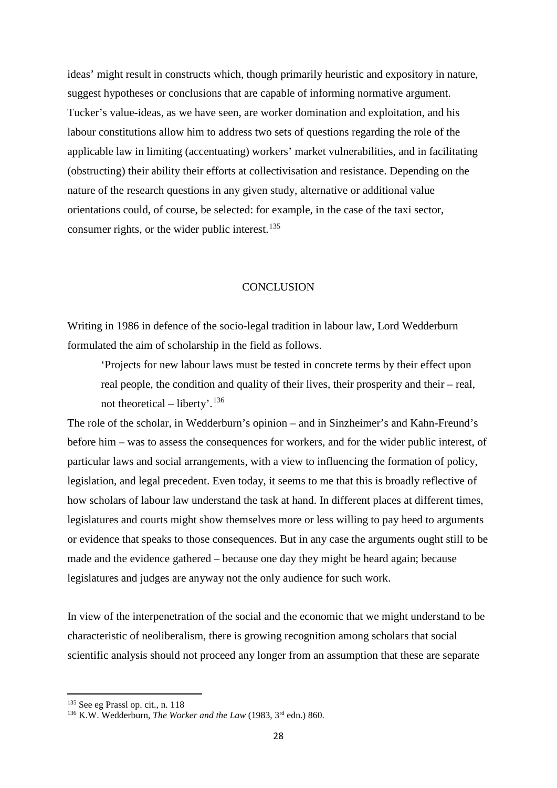ideas' might result in constructs which, though primarily heuristic and expository in nature, suggest hypotheses or conclusions that are capable of informing normative argument. Tucker's value-ideas, as we have seen, are worker domination and exploitation, and his labour constitutions allow him to address two sets of questions regarding the role of the applicable law in limiting (accentuating) workers' market vulnerabilities, and in facilitating (obstructing) their ability their efforts at collectivisation and resistance. Depending on the nature of the research questions in any given study, alternative or additional value orientations could, of course, be selected: for example, in the case of the taxi sector, consumer rights, or the wider public interest. $135$ 

#### **CONCLUSION**

Writing in 1986 in defence of the socio-legal tradition in labour law, Lord Wedderburn formulated the aim of scholarship in the field as follows.

'Projects for new labour laws must be tested in concrete terms by their effect upon real people, the condition and quality of their lives, their prosperity and their – real, not theoretical – liberty'.<sup>[136](#page-28-1)</sup>

The role of the scholar, in Wedderburn's opinion – and in Sinzheimer's and Kahn-Freund's before him – was to assess the consequences for workers, and for the wider public interest, of particular laws and social arrangements, with a view to influencing the formation of policy, legislation, and legal precedent. Even today, it seems to me that this is broadly reflective of how scholars of labour law understand the task at hand. In different places at different times, legislatures and courts might show themselves more or less willing to pay heed to arguments or evidence that speaks to those consequences. But in any case the arguments ought still to be made and the evidence gathered – because one day they might be heard again; because legislatures and judges are anyway not the only audience for such work.

In view of the interpenetration of the social and the economic that we might understand to be characteristic of neoliberalism, there is growing recognition among scholars that social scientific analysis should not proceed any longer from an assumption that these are separate

 $\overline{a}$ 

<span id="page-28-0"></span><sup>135</sup> See eg Prassl op. cit., n. 118

<span id="page-28-1"></span><sup>&</sup>lt;sup>136</sup> K.W. Wedderburn, *The Worker and the Law* (1983, 3<sup>rd</sup> edn.) 860.